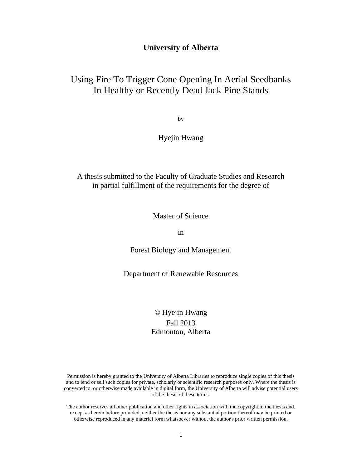## **University of Alberta**

# Using Fire To Trigger Cone Opening In Aerial Seedbanks In Healthy or Recently Dead Jack Pine Stands

by

## Hyejin Hwang

A thesis submitted to the Faculty of Graduate Studies and Research in partial fulfillment of the requirements for the degree of

Master of Science

in

Forest Biology and Management

Department of Renewable Resources

# © Hyejin Hwang Fall 2013 Edmonton, Alberta

Permission is hereby granted to the University of Alberta Libraries to reproduce single copies of this thesis and to lend or sell such copies for private, scholarly or scientific research purposes only. Where the thesis is converted to, or otherwise made available in digital form, the University of Alberta will advise potential users of the thesis of these terms.

The author reserves all other publication and other rights in association with the copyright in the thesis and, except as herein before provided, neither the thesis nor any substantial portion thereof may be printed or otherwise reproduced in any material form whatsoever without the author's prior written permission.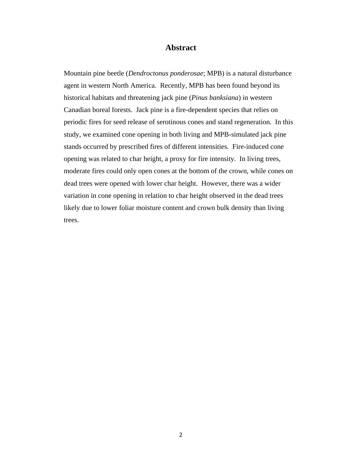## **Abstract**

Mountain pine beetle (*Dendroctonus ponderosae*; MPB) is a natural disturbance agent in western North America. Recently, MPB has been found beyond its historical habitats and threatening jack pine (*Pinus banksiana*) in western Canadian boreal forests. Jack pine is a fire-dependent species that relies on periodic fires for seed release of serotinous cones and stand regeneration. In this study, we examined cone opening in both living and MPB-simulated jack pine stands occurred by prescribed fires of different intensities. Fire-induced cone opening was related to char height, a proxy for fire intensity. In living trees, moderate fires could only open cones at the bottom of the crown, while cones on dead trees were opened with lower char height. However, there was a wider variation in cone opening in relation to char height observed in the dead trees likely due to lower foliar moisture content and crown bulk density than living trees.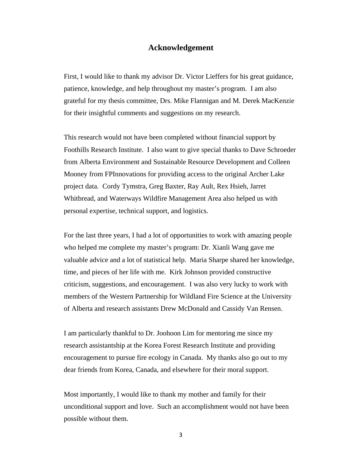## **Acknowledgement**

First, I would like to thank my advisor Dr. Victor Lieffers for his great guidance, patience, knowledge, and help throughout my master's program. I am also grateful for my thesis committee, Drs. Mike Flannigan and M. Derek MacKenzie for their insightful comments and suggestions on my research.

This research would not have been completed without financial support by Foothills Research Institute. I also want to give special thanks to Dave Schroeder from Alberta Environment and Sustainable Resource Development and Colleen Mooney from FPInnovations for providing access to the original Archer Lake project data. Cordy Tymstra, Greg Baxter, Ray Ault, Rex Hsieh, Jarret Whitbread, and Waterways Wildfire Management Area also helped us with personal expertise, technical support, and logistics.

For the last three years, I had a lot of opportunities to work with amazing people who helped me complete my master's program: Dr. Xianli Wang gave me valuable advice and a lot of statistical help. Maria Sharpe shared her knowledge, time, and pieces of her life with me. Kirk Johnson provided constructive criticism, suggestions, and encouragement. I was also very lucky to work with members of the Western Partnership for Wildland Fire Science at the University of Alberta and research assistants Drew McDonald and Cassidy Van Rensen.

I am particularly thankful to Dr. Joohoon Lim for mentoring me since my research assistantship at the Korea Forest Research Institute and providing encouragement to pursue fire ecology in Canada. My thanks also go out to my dear friends from Korea, Canada, and elsewhere for their moral support.

Most importantly, I would like to thank my mother and family for their unconditional support and love. Such an accomplishment would not have been possible without them.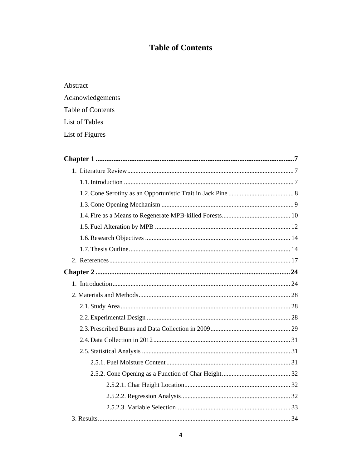# **Table of Contents**

| Abstract                 |
|--------------------------|
| Acknowledgements         |
| <b>Table of Contents</b> |
| List of Tables           |

List of Figures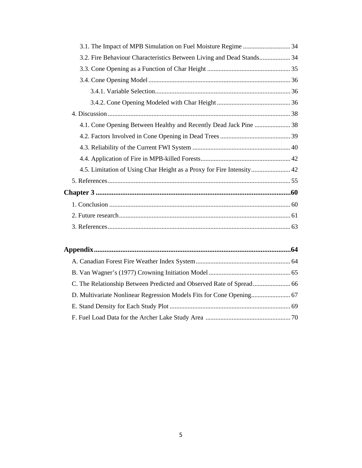| 3.2. Fire Behaviour Characteristics Between Living and Dead Stands 34 |  |
|-----------------------------------------------------------------------|--|
|                                                                       |  |
|                                                                       |  |
|                                                                       |  |
|                                                                       |  |
|                                                                       |  |
| 4.1. Cone Opening Between Healthy and Recently Dead Jack Pine  38     |  |
|                                                                       |  |
|                                                                       |  |
|                                                                       |  |
| 4.5. Limitation of Using Char Height as a Proxy for Fire Intensity 42 |  |
|                                                                       |  |
|                                                                       |  |
|                                                                       |  |
|                                                                       |  |
|                                                                       |  |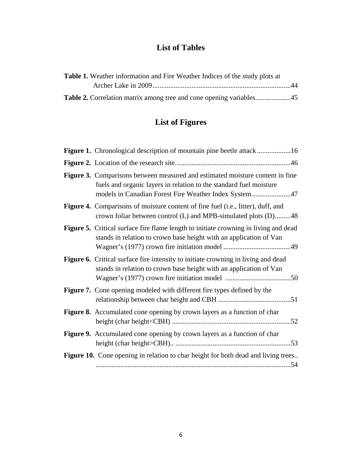# **List of Tables**

| Table 1. Weather information and Fire Weather Indices of the study plots at |  |
|-----------------------------------------------------------------------------|--|
|                                                                             |  |
|                                                                             |  |

# **List of Figures**

| <b>Figure 1.</b> Chronological description of mountain pine beetle attack 16                                                                                                                                 |
|--------------------------------------------------------------------------------------------------------------------------------------------------------------------------------------------------------------|
|                                                                                                                                                                                                              |
| Figure 3. Comparisons between measured and estimated moisture content in fine<br>fuels and organic layers in relation to the standard fuel moisture<br>models in Canadian Forest Fire Weather Index System47 |
| Figure 4. Comparisons of moisture content of fine fuel (i.e., litter), duff, and<br>crown foliar between control (L) and MPB-simulated plots (D)48                                                           |
| <b>Figure 5.</b> Critical surface fire flame length to initiate crowning in living and dead<br>stands in relation to crown base height with an application of Van                                            |
| Figure 6. Critical surface fire intensity to initiate crowning in living and dead<br>stands in relation to crown base height with an application of Van                                                      |
| <b>Figure 7.</b> Cone opening modeled with different fire types defined by the                                                                                                                               |
| Figure 8. Accumulated cone opening by crown layers as a function of char                                                                                                                                     |
| Figure 9. Accumulated cone opening by crown layers as a function of char                                                                                                                                     |
| Figure 10. Cone opening in relation to char height for both dead and living trees                                                                                                                            |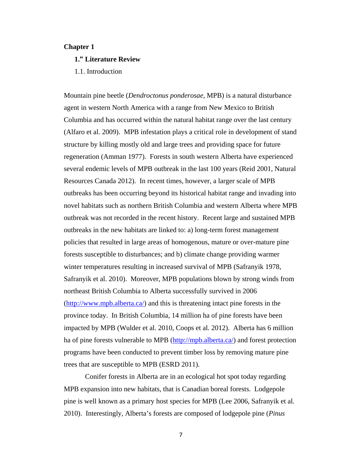### **Chapter 1**

### **1." Literature Review**

1.1. Introduction

Mountain pine beetle (*Dendroctonus ponderosae*, MPB) is a natural disturbance agent in western North America with a range from New Mexico to British Columbia and has occurred within the natural habitat range over the last century (Alfaro et al. 2009). MPB infestation plays a critical role in development of stand structure by killing mostly old and large trees and providing space for future regeneration (Amman 1977). Forests in south western Alberta have experienced several endemic levels of MPB outbreak in the last 100 years (Reid 2001, Natural Resources Canada 2012). In recent times, however, a larger scale of MPB outbreaks has been occurring beyond its historical habitat range and invading into novel habitats such as northern British Columbia and western Alberta where MPB outbreak was not recorded in the recent history. Recent large and sustained MPB outbreaks in the new habitats are linked to: a) long-term forest management policies that resulted in large areas of homogenous, mature or over-mature pine forests susceptible to disturbances; and b) climate change providing warmer winter temperatures resulting in increased survival of MPB (Safranyik 1978, Safranyik et al. 2010). Moreover, MPB populations blown by strong winds from northeast British Columbia to Alberta successfully survived in 2006 (http://www.mpb.alberta.ca/) and this is threatening intact pine forests in the province today. In British Columbia, 14 million ha of pine forests have been impacted by MPB (Wulder et al. 2010, Coops et al. 2012). Alberta has 6 million ha of pine forests vulnerable to MPB (http://mpb.alberta.ca/) and forest protection programs have been conducted to prevent timber loss by removing mature pine trees that are susceptible to MPB (ESRD 2011).

Conifer forests in Alberta are in an ecological hot spot today regarding MPB expansion into new habitats, that is Canadian boreal forests. Lodgepole pine is well known as a primary host species for MPB (Lee 2006, Safranyik et al. 2010). Interestingly, Alberta's forests are composed of lodgepole pine (*Pinus*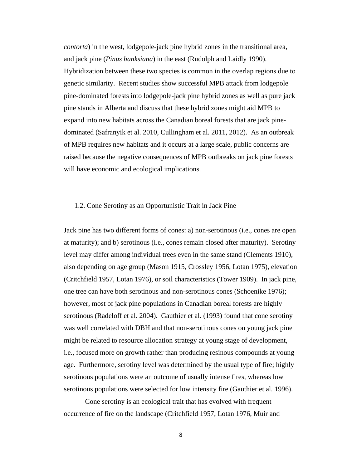*contorta*) in the west, lodgepole-jack pine hybrid zones in the transitional area, and jack pine (*Pinus banksiana*) in the east (Rudolph and Laidly 1990). Hybridization between these two species is common in the overlap regions due to genetic similarity. Recent studies show successful MPB attack from lodgepole pine-dominated forests into lodgepole-jack pine hybrid zones as well as pure jack pine stands in Alberta and discuss that these hybrid zones might aid MPB to expand into new habitats across the Canadian boreal forests that are jack pinedominated (Safranyik et al. 2010, Cullingham et al. 2011, 2012). As an outbreak of MPB requires new habitats and it occurs at a large scale, public concerns are raised because the negative consequences of MPB outbreaks on jack pine forests will have economic and ecological implications.

## 1.2. Cone Serotiny as an Opportunistic Trait in Jack Pine

Jack pine has two different forms of cones: a) non-serotinous (i.e., cones are open at maturity); and b) serotinous (i.e., cones remain closed after maturity). Serotiny level may differ among individual trees even in the same stand (Clements 1910), also depending on age group (Mason 1915, Crossley 1956, Lotan 1975), elevation (Critchfield 1957, Lotan 1976), or soil characteristics (Tower 1909). In jack pine, one tree can have both serotinous and non-serotinous cones (Schoenike 1976); however, most of jack pine populations in Canadian boreal forests are highly serotinous (Radeloff et al. 2004). Gauthier et al. (1993) found that cone serotiny was well correlated with DBH and that non-serotinous cones on young jack pine might be related to resource allocation strategy at young stage of development, i.e., focused more on growth rather than producing resinous compounds at young age. Furthermore, serotiny level was determined by the usual type of fire; highly serotinous populations were an outcome of usually intense fires, whereas low serotinous populations were selected for low intensity fire (Gauthier et al. 1996).

Cone serotiny is an ecological trait that has evolved with frequent occurrence of fire on the landscape (Critchfield 1957, Lotan 1976, Muir and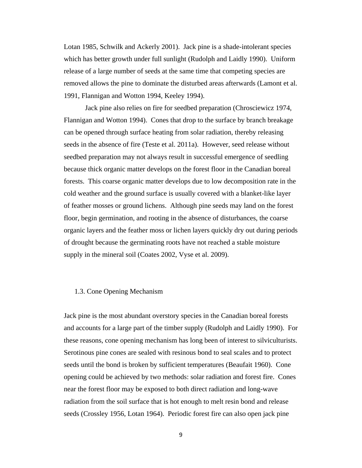Lotan 1985, Schwilk and Ackerly 2001). Jack pine is a shade-intolerant species which has better growth under full sunlight (Rudolph and Laidly 1990). Uniform release of a large number of seeds at the same time that competing species are removed allows the pine to dominate the disturbed areas afterwards (Lamont et al. 1991, Flannigan and Wotton 1994, Keeley 1994).

Jack pine also relies on fire for seedbed preparation (Chrosciewicz 1974, Flannigan and Wotton 1994). Cones that drop to the surface by branch breakage can be opened through surface heating from solar radiation, thereby releasing seeds in the absence of fire (Teste et al. 2011a). However, seed release without seedbed preparation may not always result in successful emergence of seedling because thick organic matter develops on the forest floor in the Canadian boreal forests. This coarse organic matter develops due to low decomposition rate in the cold weather and the ground surface is usually covered with a blanket-like layer of feather mosses or ground lichens. Although pine seeds may land on the forest floor, begin germination, and rooting in the absence of disturbances, the coarse organic layers and the feather moss or lichen layers quickly dry out during periods of drought because the germinating roots have not reached a stable moisture supply in the mineral soil (Coates 2002, Vyse et al. 2009).

#### 1.3. Cone Opening Mechanism

Jack pine is the most abundant overstory species in the Canadian boreal forests and accounts for a large part of the timber supply (Rudolph and Laidly 1990). For these reasons, cone opening mechanism has long been of interest to silviculturists. Serotinous pine cones are sealed with resinous bond to seal scales and to protect seeds until the bond is broken by sufficient temperatures (Beaufait 1960). Cone opening could be achieved by two methods: solar radiation and forest fire. Cones near the forest floor may be exposed to both direct radiation and long-wave radiation from the soil surface that is hot enough to melt resin bond and release seeds (Crossley 1956, Lotan 1964). Periodic forest fire can also open jack pine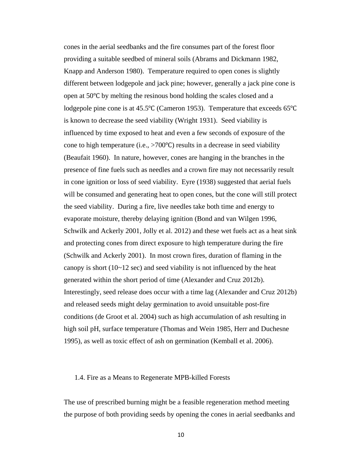cones in the aerial seedbanks and the fire consumes part of the forest floor providing a suitable seedbed of mineral soils (Abrams and Dickmann 1982, Knapp and Anderson 1980). Temperature required to open cones is slightly different between lodgepole and jack pine; however, generally a jack pine cone is open at 50℃ by melting the resinous bond holding the scales closed and a lodgepole pine cone is at 45.5℃ (Cameron 1953). Temperature that exceeds 65℃ is known to decrease the seed viability (Wright 1931). Seed viability is influenced by time exposed to heat and even a few seconds of exposure of the cone to high temperature (i.e., >700℃) results in a decrease in seed viability (Beaufait 1960). In nature, however, cones are hanging in the branches in the presence of fine fuels such as needles and a crown fire may not necessarily result in cone ignition or loss of seed viability. Eyre (1938) suggested that aerial fuels will be consumed and generating heat to open cones, but the cone will still protect the seed viability. During a fire, live needles take both time and energy to evaporate moisture, thereby delaying ignition (Bond and van Wilgen 1996, Schwilk and Ackerly 2001, Jolly et al. 2012) and these wet fuels act as a heat sink and protecting cones from direct exposure to high temperature during the fire (Schwilk and Ackerly 2001). In most crown fires, duration of flaming in the canopy is short  $(10-12 \text{ sec})$  and seed viability is not influenced by the heat generated within the short period of time (Alexander and Cruz 2012b). Interestingly, seed release does occur with a time lag (Alexander and Cruz 2012b) and released seeds might delay germination to avoid unsuitable post-fire conditions (de Groot et al. 2004) such as high accumulation of ash resulting in high soil pH, surface temperature (Thomas and Wein 1985, Herr and Duchesne 1995), as well as toxic effect of ash on germination (Kemball et al. 2006).

#### 1.4. Fire as a Means to Regenerate MPB-killed Forests

The use of prescribed burning might be a feasible regeneration method meeting the purpose of both providing seeds by opening the cones in aerial seedbanks and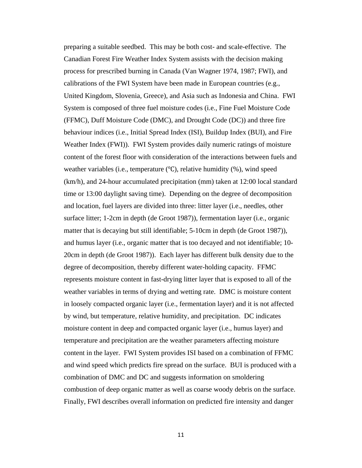preparing a suitable seedbed. This may be both cost- and scale-effective. The Canadian Forest Fire Weather Index System assists with the decision making process for prescribed burning in Canada (Van Wagner 1974, 1987; FWI), and calibrations of the FWI System have been made in European countries (e.g., United Kingdom, Slovenia, Greece), and Asia such as Indonesia and China. FWI System is composed of three fuel moisture codes (i.e., Fine Fuel Moisture Code (FFMC), Duff Moisture Code (DMC), and Drought Code (DC)) and three fire behaviour indices (i.e., Initial Spread Index (ISI), Buildup Index (BUI), and Fire Weather Index (FWI)). FWI System provides daily numeric ratings of moisture content of the forest floor with consideration of the interactions between fuels and weather variables (i.e., temperature (℃), relative humidity (%), wind speed (km/h), and 24-hour accumulated precipitation (mm) taken at 12:00 local standard time or 13:00 daylight saving time). Depending on the degree of decomposition and location, fuel layers are divided into three: litter layer (i.e., needles, other surface litter; 1-2cm in depth (de Groot 1987)), fermentation layer (i.e., organic matter that is decaying but still identifiable; 5-10cm in depth (de Groot 1987)), and humus layer (i.e., organic matter that is too decayed and not identifiable; 10- 20cm in depth (de Groot 1987)). Each layer has different bulk density due to the degree of decomposition, thereby different water-holding capacity. FFMC represents moisture content in fast-drying litter layer that is exposed to all of the weather variables in terms of drying and wetting rate. DMC is moisture content in loosely compacted organic layer (i.e., fermentation layer) and it is not affected by wind, but temperature, relative humidity, and precipitation. DC indicates moisture content in deep and compacted organic layer (i.e., humus layer) and temperature and precipitation are the weather parameters affecting moisture content in the layer. FWI System provides ISI based on a combination of FFMC and wind speed which predicts fire spread on the surface. BUI is produced with a combination of DMC and DC and suggests information on smoldering combustion of deep organic matter as well as coarse woody debris on the surface. Finally, FWI describes overall information on predicted fire intensity and danger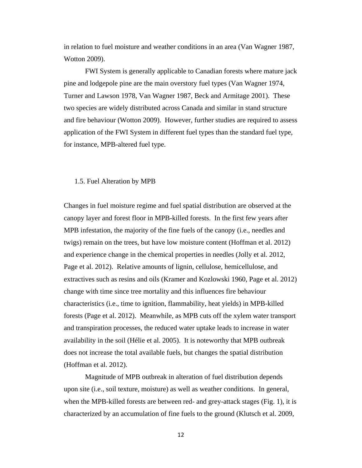in relation to fuel moisture and weather conditions in an area (Van Wagner 1987, Wotton 2009).

FWI System is generally applicable to Canadian forests where mature jack pine and lodgepole pine are the main overstory fuel types (Van Wagner 1974, Turner and Lawson 1978, Van Wagner 1987, Beck and Armitage 2001). These two species are widely distributed across Canada and similar in stand structure and fire behaviour (Wotton 2009). However, further studies are required to assess application of the FWI System in different fuel types than the standard fuel type, for instance, MPB-altered fuel type.

#### 1.5. Fuel Alteration by MPB

Changes in fuel moisture regime and fuel spatial distribution are observed at the canopy layer and forest floor in MPB-killed forests. In the first few years after MPB infestation, the majority of the fine fuels of the canopy (i.e., needles and twigs) remain on the trees, but have low moisture content (Hoffman et al. 2012) and experience change in the chemical properties in needles (Jolly et al. 2012, Page et al. 2012). Relative amounts of lignin, cellulose, hemicellulose, and extractives such as resins and oils (Kramer and Kozlowski 1960, Page et al. 2012) change with time since tree mortality and this influences fire behaviour characteristics (i.e., time to ignition, flammability, heat yields) in MPB-killed forests (Page et al. 2012). Meanwhile, as MPB cuts off the xylem water transport and transpiration processes, the reduced water uptake leads to increase in water availability in the soil (Hélie et al. 2005). It is noteworthy that MPB outbreak does not increase the total available fuels, but changes the spatial distribution (Hoffman et al. 2012).

Magnitude of MPB outbreak in alteration of fuel distribution depends upon site (i.e., soil texture, moisture) as well as weather conditions. In general, when the MPB-killed forests are between red- and grey-attack stages (Fig. 1), it is characterized by an accumulation of fine fuels to the ground (Klutsch et al. 2009,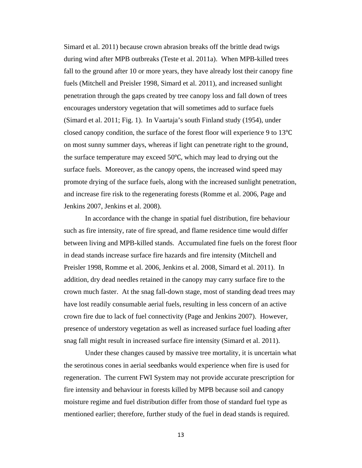Simard et al. 2011) because crown abrasion breaks off the brittle dead twigs during wind after MPB outbreaks (Teste et al. 2011a). When MPB-killed trees fall to the ground after 10 or more years, they have already lost their canopy fine fuels (Mitchell and Preisler 1998, Simard et al. 2011), and increased sunlight penetration through the gaps created by tree canopy loss and fall down of trees encourages understory vegetation that will sometimes add to surface fuels (Simard et al. 2011; Fig. 1). In Vaartaja's south Finland study (1954), under closed canopy condition, the surface of the forest floor will experience 9 to 13℃ on most sunny summer days, whereas if light can penetrate right to the ground, the surface temperature may exceed 50℃, which may lead to drying out the surface fuels. Moreover, as the canopy opens, the increased wind speed may promote drying of the surface fuels, along with the increased sunlight penetration, and increase fire risk to the regenerating forests (Romme et al. 2006, Page and Jenkins 2007, Jenkins et al. 2008).

In accordance with the change in spatial fuel distribution, fire behaviour such as fire intensity, rate of fire spread, and flame residence time would differ between living and MPB-killed stands. Accumulated fine fuels on the forest floor in dead stands increase surface fire hazards and fire intensity (Mitchell and Preisler 1998, Romme et al. 2006, Jenkins et al. 2008, Simard et al. 2011). In addition, dry dead needles retained in the canopy may carry surface fire to the crown much faster. At the snag fall-down stage, most of standing dead trees may have lost readily consumable aerial fuels, resulting in less concern of an active crown fire due to lack of fuel connectivity (Page and Jenkins 2007). However, presence of understory vegetation as well as increased surface fuel loading after snag fall might result in increased surface fire intensity (Simard et al. 2011).

 Under these changes caused by massive tree mortality, it is uncertain what the serotinous cones in aerial seedbanks would experience when fire is used for regeneration. The current FWI System may not provide accurate prescription for fire intensity and behaviour in forests killed by MPB because soil and canopy moisture regime and fuel distribution differ from those of standard fuel type as mentioned earlier; therefore, further study of the fuel in dead stands is required.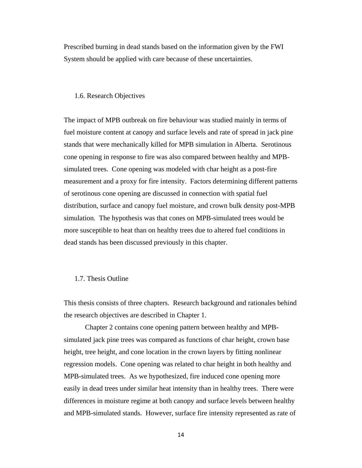Prescribed burning in dead stands based on the information given by the FWI System should be applied with care because of these uncertainties.

#### 1.6. Research Objectives

The impact of MPB outbreak on fire behaviour was studied mainly in terms of fuel moisture content at canopy and surface levels and rate of spread in jack pine stands that were mechanically killed for MPB simulation in Alberta. Serotinous cone opening in response to fire was also compared between healthy and MPBsimulated trees. Cone opening was modeled with char height as a post-fire measurement and a proxy for fire intensity. Factors determining different patterns of serotinous cone opening are discussed in connection with spatial fuel distribution, surface and canopy fuel moisture, and crown bulk density post-MPB simulation. The hypothesis was that cones on MPB-simulated trees would be more susceptible to heat than on healthy trees due to altered fuel conditions in dead stands has been discussed previously in this chapter.

#### 1.7. Thesis Outline

This thesis consists of three chapters. Research background and rationales behind the research objectives are described in Chapter 1.

Chapter 2 contains cone opening pattern between healthy and MPBsimulated jack pine trees was compared as functions of char height, crown base height, tree height, and cone location in the crown layers by fitting nonlinear regression models. Cone opening was related to char height in both healthy and MPB-simulated trees. As we hypothesized, fire induced cone opening more easily in dead trees under similar heat intensity than in healthy trees. There were differences in moisture regime at both canopy and surface levels between healthy and MPB-simulated stands. However, surface fire intensity represented as rate of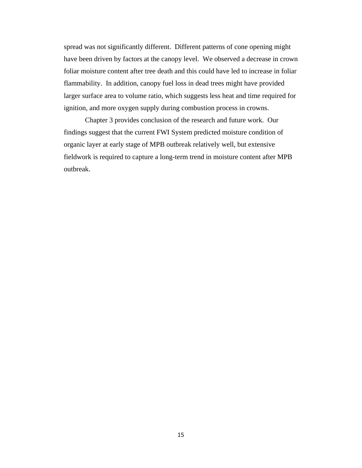spread was not significantly different. Different patterns of cone opening might have been driven by factors at the canopy level. We observed a decrease in crown foliar moisture content after tree death and this could have led to increase in foliar flammability. In addition, canopy fuel loss in dead trees might have provided larger surface area to volume ratio, which suggests less heat and time required for ignition, and more oxygen supply during combustion process in crowns.

Chapter 3 provides conclusion of the research and future work. Our findings suggest that the current FWI System predicted moisture condition of organic layer at early stage of MPB outbreak relatively well, but extensive fieldwork is required to capture a long-term trend in moisture content after MPB outbreak.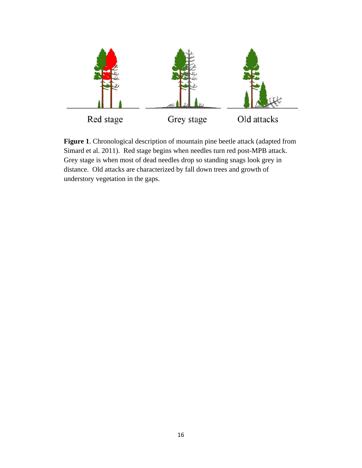

**Figure 1**. Chronological description of mountain pine beetle attack (adapted from Simard et al. 2011). Red stage begins when needles turn red post-MPB attack. Grey stage is when most of dead needles drop so standing snags look grey in distance. Old attacks are characterized by fall down trees and growth of understory vegetation in the gaps.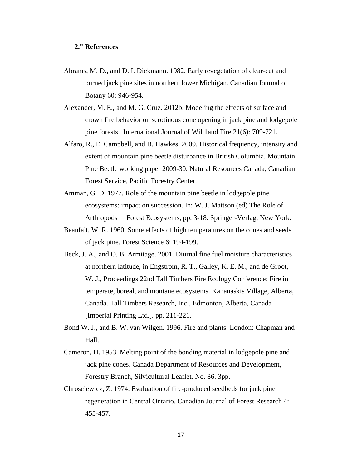## **2." References**

- Abrams, M. D., and D. I. Dickmann. 1982. Early revegetation of clear-cut and burned jack pine sites in northern lower Michigan. Canadian Journal of Botany 60: 946-954.
- Alexander, M. E., and M. G. Cruz. 2012b. Modeling the effects of surface and crown fire behavior on serotinous cone opening in jack pine and lodgepole pine forests. International Journal of Wildland Fire 21(6): 709-721.
- Alfaro, R., E. Campbell, and B. Hawkes. 2009. Historical frequency, intensity and extent of mountain pine beetle disturbance in British Columbia. Mountain Pine Beetle working paper 2009-30. Natural Resources Canada, Canadian Forest Service, Pacific Forestry Center.
- Amman, G. D. 1977. Role of the mountain pine beetle in lodgepole pine ecosystems: impact on succession. In: W. J. Mattson (ed) The Role of Arthropods in Forest Ecosystems, pp. 3-18. Springer-Verlag, New York.
- Beaufait, W. R. 1960. Some effects of high temperatures on the cones and seeds of jack pine. Forest Science 6: 194-199.
- Beck, J. A., and O. B. Armitage. 2001. Diurnal fine fuel moisture characteristics at northern latitude, in Engstrom, R. T., Galley, K. E. M., and de Groot, W. J., Proceedings 22nd Tall Timbers Fire Ecology Conference: Fire in temperate, boreal, and montane ecosystems. Kananaskis Village, Alberta, Canada. Tall Timbers Research, Inc., Edmonton, Alberta, Canada [Imperial Printing Ltd.]. pp. 211-221.
- Bond W. J., and B. W. van Wilgen. 1996. Fire and plants. London: Chapman and Hall.
- Cameron, H. 1953. Melting point of the bonding material in lodgepole pine and jack pine cones. Canada Department of Resources and Development, Forestry Branch, Silvicultural Leaflet. No. 86. 3pp.
- Chrosciewicz, Z. 1974. Evaluation of fire-produced seedbeds for jack pine regeneration in Central Ontario. Canadian Journal of Forest Research 4: 455-457.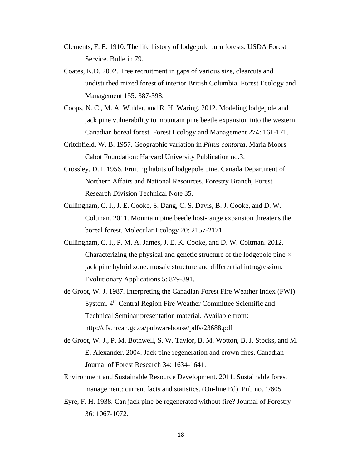- Clements, F. E. 1910. The life history of lodgepole burn forests. USDA Forest Service. Bulletin 79.
- Coates, K.D. 2002. Tree recruitment in gaps of various size, clearcuts and undisturbed mixed forest of interior British Columbia. Forest Ecology and Management 155: 387-398.
- Coops, N. C., M. A. Wulder, and R. H. Waring. 2012. Modeling lodgepole and jack pine vulnerability to mountain pine beetle expansion into the western Canadian boreal forest. Forest Ecology and Management 274: 161-171.
- Critchfield, W. B. 1957. Geographic variation in *Pinus contorta*. Maria Moors Cabot Foundation: Harvard University Publication no.3.
- Crossley, D. I. 1956. Fruiting habits of lodgepole pine. Canada Department of Northern Affairs and National Resources, Forestry Branch, Forest Research Division Technical Note 35.
- Cullingham, C. I., J. E. Cooke, S. Dang, C. S. Davis, B. J. Cooke, and D. W. Coltman. 2011. Mountain pine beetle host-range expansion threatens the boreal forest. Molecular Ecology 20: 2157-2171.
- Cullingham, C. I., P. M. A. James, J. E. K. Cooke, and D. W. Coltman. 2012. Characterizing the physical and genetic structure of the lodgepole pine  $\times$ jack pine hybrid zone: mosaic structure and differential introgression. Evolutionary Applications 5: 879-891.
- de Groot, W. J. 1987. Interpreting the Canadian Forest Fire Weather Index (FWI) System. 4<sup>th</sup> Central Region Fire Weather Committee Scientific and Technical Seminar presentation material. Available from: http://cfs.nrcan.gc.ca/pubwarehouse/pdfs/23688.pdf
- de Groot, W. J., P. M. Bothwell, S. W. Taylor, B. M. Wotton, B. J. Stocks, and M. E. Alexander. 2004. Jack pine regeneration and crown fires. Canadian Journal of Forest Research 34: 1634-1641.
- Environment and Sustainable Resource Development. 2011. Sustainable forest management: current facts and statistics. (On-line Ed). Pub no. 1/605.
- Eyre, F. H. 1938. Can jack pine be regenerated without fire? Journal of Forestry 36: 1067-1072.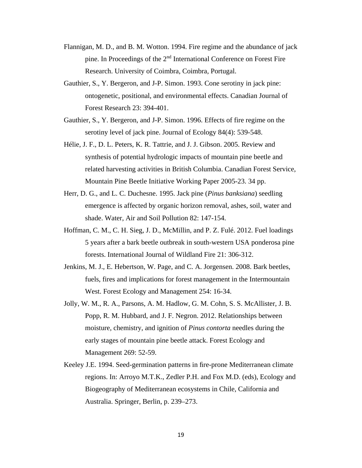- Flannigan, M. D., and B. M. Wotton. 1994. Fire regime and the abundance of jack pine. In Proceedings of the 2nd International Conference on Forest Fire Research. University of Coimbra, Coimbra, Portugal.
- Gauthier, S., Y. Bergeron, and J-P. Simon. 1993. Cone serotiny in jack pine: ontogenetic, positional, and environmental effects. Canadian Journal of Forest Research 23: 394-401.
- Gauthier, S., Y. Bergeron, and J-P. Simon. 1996. Effects of fire regime on the serotiny level of jack pine. Journal of Ecology 84(4): 539-548.
- Hélie, J. F., D. L. Peters, K. R. Tattrie, and J. J. Gibson. 2005. Review and synthesis of potential hydrologic impacts of mountain pine beetle and related harvesting activities in British Columbia. Canadian Forest Service, Mountain Pine Beetle Initiative Working Paper 2005-23. 34 pp.
- Herr, D. G., and L. C. Duchesne. 1995. Jack pine (*Pinus banksiana*) seedling emergence is affected by organic horizon removal, ashes, soil, water and shade. Water, Air and Soil Pollution 82: 147-154.
- Hoffman, C. M., C. H. Sieg, J. D., McMillin, and P. Z. Fulé. 2012. Fuel loadings 5 years after a bark beetle outbreak in south-western USA ponderosa pine forests. International Journal of Wildland Fire 21: 306-312.
- Jenkins, M. J., E. Hebertson, W. Page, and C. A. Jorgensen. 2008. Bark beetles, fuels, fires and implications for forest management in the Intermountain West. Forest Ecology and Management 254: 16-34.
- Jolly, W. M., R. A., Parsons, A. M. Hadlow, G. M. Cohn, S. S. McAllister, J. B. Popp, R. M. Hubbard, and J. F. Negron. 2012. Relationships between moisture, chemistry, and ignition of *Pinus contorta* needles during the early stages of mountain pine beetle attack. Forest Ecology and Management 269: 52-59.
- Keeley J.E. 1994. Seed-germination patterns in fire-prone Mediterranean climate regions. In: Arroyo M.T.K., Zedler P.H. and Fox M.D. (eds), Ecology and Biogeography of Mediterranean ecosystems in Chile, California and Australia. Springer, Berlin, p. 239–273.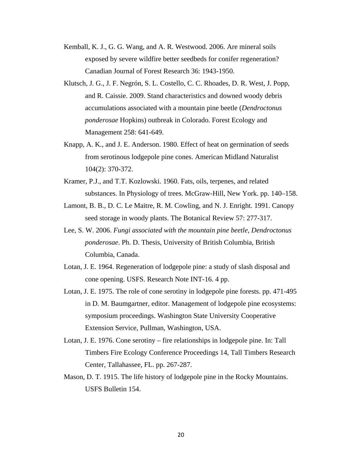- Kemball, K. J., G. G. Wang, and A. R. Westwood. 2006. Are mineral soils exposed by severe wildfire better seedbeds for conifer regeneration? Canadian Journal of Forest Research 36: 1943-1950.
- Klutsch, J. G., J. F. Negrón, S. L. Costello, C. C. Rhoades, D. R. West, J. Popp, and R. Caissie. 2009. Stand characteristics and downed woody debris accumulations associated with a mountain pine beetle (*Dendroctonus ponderosae* Hopkins) outbreak in Colorado. Forest Ecology and Management 258: 641-649.
- Knapp, A. K., and J. E. Anderson. 1980. Effect of heat on germination of seeds from serotinous lodgepole pine cones. American Midland Naturalist 104(2): 370-372.
- Kramer, P.J., and T.T. Kozlowski. 1960. Fats, oils, terpenes, and related substances. In Physiology of trees. McGraw-Hill, New York. pp. 140–158.
- Lamont, B. B., D. C. Le Maitre, R. M. Cowling, and N. J. Enright. 1991. Canopy seed storage in woody plants. The Botanical Review 57: 277-317.
- Lee, S. W. 2006. *Fungi associated with the mountain pine beetle, Dendroctonus ponderosae*. Ph. D. Thesis, University of British Columbia, British Columbia, Canada.
- Lotan, J. E. 1964. Regeneration of lodgepole pine: a study of slash disposal and cone opening. USFS. Research Note INT-16. 4 pp.
- Lotan, J. E. 1975. The role of cone serotiny in lodgepole pine forests. pp. 471-495 in D. M. Baumgartner, editor. Management of lodgepole pine ecosystems: symposium proceedings. Washington State University Cooperative Extension Service, Pullman, Washington, USA.
- Lotan, J. E. 1976. Cone serotiny fire relationships in lodgepole pine. In: Tall Timbers Fire Ecology Conference Proceedings 14, Tall Timbers Research Center, Tallahassee, FL. pp. 267-287.
- Mason, D. T. 1915. The life history of lodgepole pine in the Rocky Mountains. USFS Bulletin 154.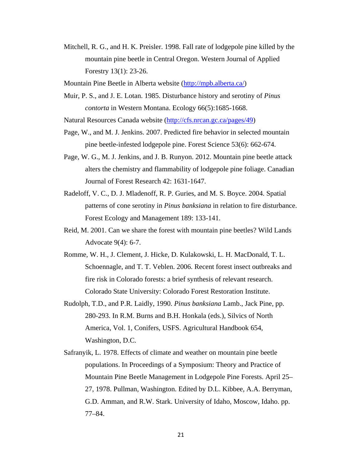- Mitchell, R. G., and H. K. Preisler. 1998. Fall rate of lodgepole pine killed by the mountain pine beetle in Central Oregon. Western Journal of Applied Forestry 13(1): 23-26.
- Mountain Pine Beetle in Alberta website (http://mpb.alberta.ca/)
- Muir, P. S., and J. E. Lotan. 1985. Disturbance history and serotiny of *Pinus contorta* in Western Montana. Ecology 66(5):1685-1668.

Natural Resources Canada website (http://cfs.nrcan.gc.ca/pages/49)

- Page, W., and M. J. Jenkins. 2007. Predicted fire behavior in selected mountain pine beetle-infested lodgepole pine. Forest Science 53(6): 662-674.
- Page, W. G., M. J. Jenkins, and J. B. Runyon. 2012. Mountain pine beetle attack alters the chemistry and flammability of lodgepole pine foliage. Canadian Journal of Forest Research 42: 1631-1647.
- Radeloff, V. C., D. J. Mladenoff, R. P. Guries, and M. S. Boyce. 2004. Spatial patterns of cone serotiny in *Pinus banksiana* in relation to fire disturbance. Forest Ecology and Management 189: 133-141.
- Reid, M. 2001. Can we share the forest with mountain pine beetles? Wild Lands Advocate 9(4): 6-7.
- Romme, W. H., J. Clement, J. Hicke, D. Kulakowski, L. H. MacDonald, T. L. Schoennagle, and T. T. Veblen. 2006. Recent forest insect outbreaks and fire risk in Colorado forests: a brief synthesis of relevant research. Colorado State University: Colorado Forest Restoration Institute.
- Rudolph, T.D., and P.R. Laidly, 1990. *Pinus banksiana* Lamb., Jack Pine, pp. 280-293. In R.M. Burns and B.H. Honkala (eds.), Silvics of North America, Vol. 1, Conifers, USFS. Agricultural Handbook 654, Washington, D.C.
- Safranyik, L. 1978. Effects of climate and weather on mountain pine beetle populations. In Proceedings of a Symposium: Theory and Practice of Mountain Pine Beetle Management in Lodgepole Pine Forests. April 25– 27, 1978. Pullman, Washington. Edited by D.L. Kibbee, A.A. Berryman, G.D. Amman, and R.W. Stark. University of Idaho, Moscow, Idaho. pp. 77–84.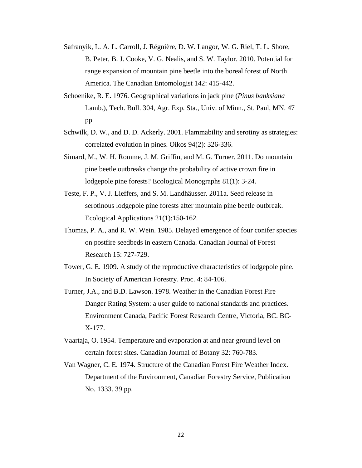- Safranyik, L. A. L. Carroll, J. Régnière, D. W. Langor, W. G. Riel, T. L. Shore, B. Peter, B. J. Cooke, V. G. Nealis, and S. W. Taylor. 2010. Potential for range expansion of mountain pine beetle into the boreal forest of North America. The Canadian Entomologist 142: 415-442.
- Schoenike, R. E. 1976. Geographical variations in jack pine (*Pinus banksiana* Lamb.), Tech. Bull. 304, Agr. Exp. Sta., Univ. of Minn., St. Paul, MN. 47 pp.
- Schwilk, D. W., and D. D. Ackerly. 2001. Flammability and serotiny as strategies: correlated evolution in pines. Oikos 94(2): 326-336.
- Simard, M., W. H. Romme, J. M. Griffin, and M. G. Turner. 2011. Do mountain pine beetle outbreaks change the probability of active crown fire in lodgepole pine forests? Ecological Monographs 81(1): 3-24.
- Teste, F. P., V. J. Lieffers, and S. M. Landhäusser. 2011a. Seed release in serotinous lodgepole pine forests after mountain pine beetle outbreak. Ecological Applications 21(1):150-162.
- Thomas, P. A., and R. W. Wein. 1985. Delayed emergence of four conifer species on postfire seedbeds in eastern Canada. Canadian Journal of Forest Research 15: 727-729.
- Tower, G. E. 1909. A study of the reproductive characteristics of lodgepole pine. In Society of American Forestry. Proc. 4: 84-106.
- Turner, J.A., and B.D. Lawson. 1978. Weather in the Canadian Forest Fire Danger Rating System: a user guide to national standards and practices. Environment Canada, Pacific Forest Research Centre, Victoria, BC. BC-X-177.
- Vaartaja, O. 1954. Temperature and evaporation at and near ground level on certain forest sites. Canadian Journal of Botany 32: 760-783.
- Van Wagner, C. E. 1974. Structure of the Canadian Forest Fire Weather Index. Department of the Environment, Canadian Forestry Service, Publication No. 1333. 39 pp.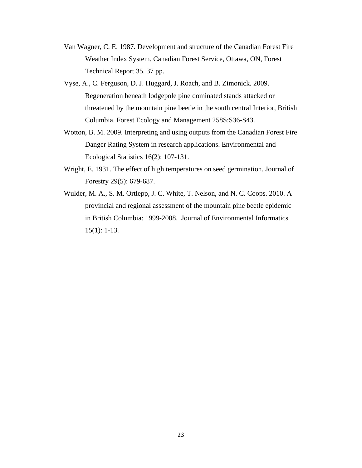- Van Wagner, C. E. 1987. Development and structure of the Canadian Forest Fire Weather Index System. Canadian Forest Service, Ottawa, ON, Forest Technical Report 35. 37 pp.
- Vyse, A., C. Ferguson, D. J. Huggard, J. Roach, and B. Zimonick. 2009. Regeneration beneath lodgepole pine dominated stands attacked or threatened by the mountain pine beetle in the south central Interior, British Columbia. Forest Ecology and Management 258S:S36-S43.
- Wotton, B. M. 2009. Interpreting and using outputs from the Canadian Forest Fire Danger Rating System in research applications. Environmental and Ecological Statistics 16(2): 107-131.
- Wright, E. 1931. The effect of high temperatures on seed germination. Journal of Forestry 29(5): 679-687.
- Wulder, M. A., S. M. Ortlepp, J. C. White, T. Nelson, and N. C. Coops. 2010. A provincial and regional assessment of the mountain pine beetle epidemic in British Columbia: 1999-2008. Journal of Environmental Informatics 15(1): 1-13.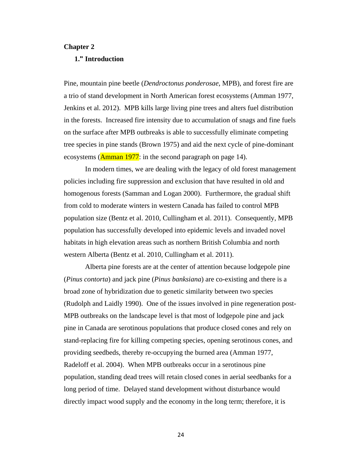#### **Chapter 2**

## **1." Introduction**

Pine, mountain pine beetle (*Dendroctonus ponderosae*, MPB), and forest fire are a trio of stand development in North American forest ecosystems (Amman 1977, Jenkins et al. 2012). MPB kills large living pine trees and alters fuel distribution in the forests. Increased fire intensity due to accumulation of snags and fine fuels on the surface after MPB outbreaks is able to successfully eliminate competing tree species in pine stands (Brown 1975) and aid the next cycle of pine-dominant ecosystems ( $\Delta$ mman 1977: in the second paragraph on page 14).

In modern times, we are dealing with the legacy of old forest management policies including fire suppression and exclusion that have resulted in old and homogenous forests (Samman and Logan 2000). Furthermore, the gradual shift from cold to moderate winters in western Canada has failed to control MPB population size (Bentz et al. 2010, Cullingham et al. 2011). Consequently, MPB population has successfully developed into epidemic levels and invaded novel habitats in high elevation areas such as northern British Columbia and north western Alberta (Bentz et al. 2010, Cullingham et al. 2011).

Alberta pine forests are at the center of attention because lodgepole pine (*Pinus contorta*) and jack pine (*Pinus banksiana*) are co-existing and there is a broad zone of hybridization due to genetic similarity between two species (Rudolph and Laidly 1990). One of the issues involved in pine regeneration post-MPB outbreaks on the landscape level is that most of lodgepole pine and jack pine in Canada are serotinous populations that produce closed cones and rely on stand-replacing fire for killing competing species, opening serotinous cones, and providing seedbeds, thereby re-occupying the burned area (Amman 1977, Radeloff et al. 2004). When MPB outbreaks occur in a serotinous pine population, standing dead trees will retain closed cones in aerial seedbanks for a long period of time. Delayed stand development without disturbance would directly impact wood supply and the economy in the long term; therefore, it is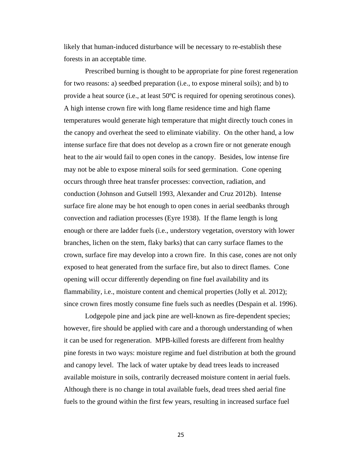likely that human-induced disturbance will be necessary to re-establish these forests in an acceptable time.

Prescribed burning is thought to be appropriate for pine forest regeneration for two reasons: a) seedbed preparation (i.e., to expose mineral soils); and b) to provide a heat source (i.e., at least 50℃ is required for opening serotinous cones). A high intense crown fire with long flame residence time and high flame temperatures would generate high temperature that might directly touch cones in the canopy and overheat the seed to eliminate viability. On the other hand, a low intense surface fire that does not develop as a crown fire or not generate enough heat to the air would fail to open cones in the canopy. Besides, low intense fire may not be able to expose mineral soils for seed germination. Cone opening occurs through three heat transfer processes: convection, radiation, and conduction (Johnson and Gutsell 1993, Alexander and Cruz 2012b). Intense surface fire alone may be hot enough to open cones in aerial seedbanks through convection and radiation processes (Eyre 1938). If the flame length is long enough or there are ladder fuels (i.e., understory vegetation, overstory with lower branches, lichen on the stem, flaky barks) that can carry surface flames to the crown, surface fire may develop into a crown fire. In this case, cones are not only exposed to heat generated from the surface fire, but also to direct flames. Cone opening will occur differently depending on fine fuel availability and its flammability, i.e., moisture content and chemical properties (Jolly et al. 2012); since crown fires mostly consume fine fuels such as needles (Despain et al. 1996).

 Lodgepole pine and jack pine are well-known as fire-dependent species; however, fire should be applied with care and a thorough understanding of when it can be used for regeneration. MPB-killed forests are different from healthy pine forests in two ways: moisture regime and fuel distribution at both the ground and canopy level. The lack of water uptake by dead trees leads to increased available moisture in soils, contrarily decreased moisture content in aerial fuels. Although there is no change in total available fuels, dead trees shed aerial fine fuels to the ground within the first few years, resulting in increased surface fuel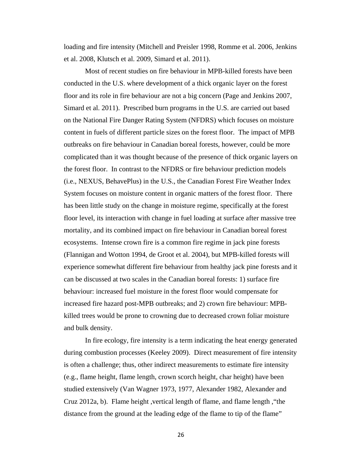loading and fire intensity (Mitchell and Preisler 1998, Romme et al. 2006, Jenkins et al. 2008, Klutsch et al. 2009, Simard et al. 2011).

Most of recent studies on fire behaviour in MPB-killed forests have been conducted in the U.S. where development of a thick organic layer on the forest floor and its role in fire behaviour are not a big concern (Page and Jenkins 2007, Simard et al. 2011). Prescribed burn programs in the U.S. are carried out based on the National Fire Danger Rating System (NFDRS) which focuses on moisture content in fuels of different particle sizes on the forest floor. The impact of MPB outbreaks on fire behaviour in Canadian boreal forests, however, could be more complicated than it was thought because of the presence of thick organic layers on the forest floor. In contrast to the NFDRS or fire behaviour prediction models (i.e., NEXUS, BehavePlus) in the U.S., the Canadian Forest Fire Weather Index System focuses on moisture content in organic matters of the forest floor. There has been little study on the change in moisture regime, specifically at the forest floor level, its interaction with change in fuel loading at surface after massive tree mortality, and its combined impact on fire behaviour in Canadian boreal forest ecosystems. Intense crown fire is a common fire regime in jack pine forests (Flannigan and Wotton 1994, de Groot et al. 2004), but MPB-killed forests will experience somewhat different fire behaviour from healthy jack pine forests and it can be discussed at two scales in the Canadian boreal forests: 1) surface fire behaviour: increased fuel moisture in the forest floor would compensate for increased fire hazard post-MPB outbreaks; and 2) crown fire behaviour: MPBkilled trees would be prone to crowning due to decreased crown foliar moisture and bulk density.

In fire ecology, fire intensity is a term indicating the heat energy generated during combustion processes (Keeley 2009). Direct measurement of fire intensity is often a challenge; thus, other indirect measurements to estimate fire intensity (e.g., flame height, flame length, crown scorch height, char height) have been studied extensively (Van Wagner 1973, 1977, Alexander 1982, Alexander and Cruz 2012a, b). Flame height ,vertical length of flame, and flame length ,"the distance from the ground at the leading edge of the flame to tip of the flame"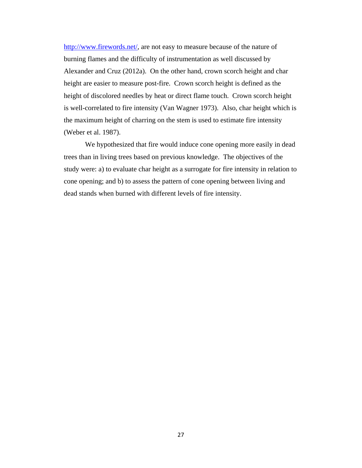http://www.firewords.net/, are not easy to measure because of the nature of burning flames and the difficulty of instrumentation as well discussed by Alexander and Cruz (2012a). On the other hand, crown scorch height and char height are easier to measure post-fire. Crown scorch height is defined as the height of discolored needles by heat or direct flame touch. Crown scorch height is well-correlated to fire intensity (Van Wagner 1973). Also, char height which is the maximum height of charring on the stem is used to estimate fire intensity (Weber et al. 1987).

 We hypothesized that fire would induce cone opening more easily in dead trees than in living trees based on previous knowledge. The objectives of the study were: a) to evaluate char height as a surrogate for fire intensity in relation to cone opening; and b) to assess the pattern of cone opening between living and dead stands when burned with different levels of fire intensity.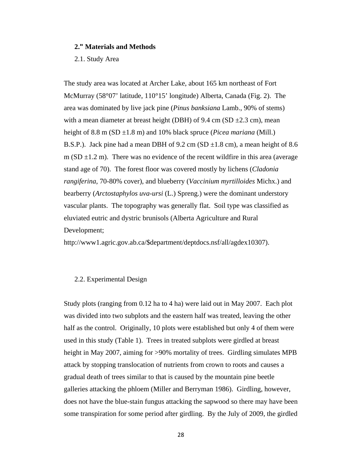#### **2." Materials and Methods**

2.1. Study Area

The study area was located at Archer Lake, about 165 km northeast of Fort McMurray (58°07' latitude, 110°15' longitude) Alberta, Canada (Fig. 2). The area was dominated by live jack pine (*Pinus banksiana* Lamb., 90% of stems) with a mean diameter at breast height (DBH) of 9.4 cm (SD  $\pm$ 2.3 cm), mean height of 8.8 m (SD ±1.8 m) and 10% black spruce (*Picea mariana* (Mill.) B.S.P.). Jack pine had a mean DBH of 9.2 cm (SD  $\pm$ 1.8 cm), a mean height of 8.6 m (SD  $\pm$ 1.2 m). There was no evidence of the recent wildfire in this area (average stand age of 70). The forest floor was covered mostly by lichens (*Cladonia rangiferina*, 70-80% cover), and blueberry (*Vaccinium myrtilloides* Michx.) and bearberry (*Arctostaphylos uva-ursi* (L.) Spreng.) were the dominant understory vascular plants. The topography was generally flat. Soil type was classified as eluviated eutric and dystric brunisols (Alberta Agriculture and Rural Development;

http://www1.agric.gov.ab.ca/\$department/deptdocs.nsf/all/agdex10307).

## 2.2. Experimental Design

Study plots (ranging from 0.12 ha to 4 ha) were laid out in May 2007. Each plot was divided into two subplots and the eastern half was treated, leaving the other half as the control. Originally, 10 plots were established but only 4 of them were used in this study (Table 1). Trees in treated subplots were girdled at breast height in May 2007, aiming for >90% mortality of trees. Girdling simulates MPB attack by stopping translocation of nutrients from crown to roots and causes a gradual death of trees similar to that is caused by the mountain pine beetle galleries attacking the phloem (Miller and Berryman 1986). Girdling, however, does not have the blue-stain fungus attacking the sapwood so there may have been some transpiration for some period after girdling. By the July of 2009, the girdled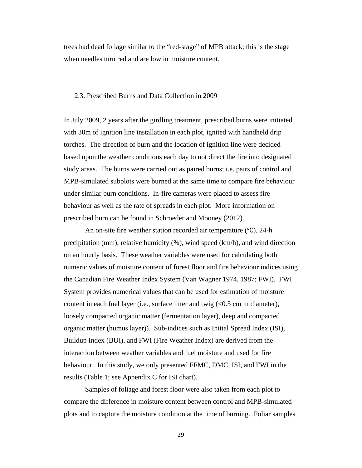trees had dead foliage similar to the "red-stage" of MPB attack; this is the stage when needles turn red and are low in moisture content.

#### 2.3. Prescribed Burns and Data Collection in 2009

In July 2009, 2 years after the girdling treatment, prescribed burns were initiated with 30m of ignition line installation in each plot, ignited with handheld drip torches. The direction of burn and the location of ignition line were decided based upon the weather conditions each day to not direct the fire into designated study areas. The burns were carried out as paired burns; i.e. pairs of control and MPB-simulated subplots were burned at the same time to compare fire behaviour under similar burn conditions. In-fire cameras were placed to assess fire behaviour as well as the rate of spreads in each plot. More information on prescribed burn can be found in Schroeder and Mooney (2012).

An on-site fire weather station recorded air temperature (℃), 24-h precipitation (mm), relative humidity (%), wind speed (km/h), and wind direction on an hourly basis. These weather variables were used for calculating both numeric values of moisture content of forest floor and fire behaviour indices using the Canadian Fire Weather Index System (Van Wagner 1974, 1987; FWI). FWI System provides numerical values that can be used for estimation of moisture content in each fuel layer (i.e., surface litter and twig (<0.5 cm in diameter), loosely compacted organic matter (fermentation layer), deep and compacted organic matter (humus layer)). Sub-indices such as Initial Spread Index (ISI), Buildup Index (BUI), and FWI (Fire Weather Index) are derived from the interaction between weather variables and fuel moisture and used for fire behaviour. In this study, we only presented FFMC, DMC, ISI, and FWI in the results (Table 1; see Appendix C for ISI chart).

Samples of foliage and forest floor were also taken from each plot to compare the difference in moisture content between control and MPB-simulated plots and to capture the moisture condition at the time of burning. Foliar samples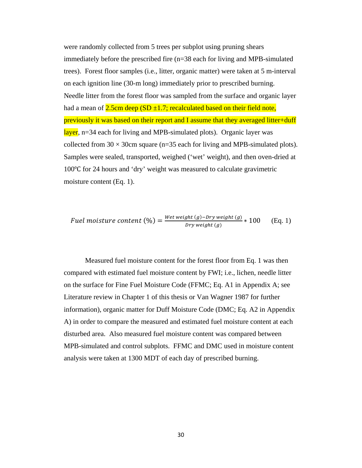were randomly collected from 5 trees per subplot using pruning shears immediately before the prescribed fire (n=38 each for living and MPB-simulated trees). Forest floor samples (i.e., litter, organic matter) were taken at 5 m-interval on each ignition line (30-m long) immediately prior to prescribed burning. Needle litter from the forest floor was sampled from the surface and organic layer had a mean of  $2.5cm$  deep (SD  $\pm 1.7$ ; recalculated based on their field note, previously it was based on their report and I assume that they averaged litter+duff layer, n=34 each for living and MPB-simulated plots). Organic layer was collected from  $30 \times 30$ cm square (n=35 each for living and MPB-simulated plots). Samples were sealed, transported, weighed ('wet' weight), and then oven-dried at 100℃ for 24 hours and 'dry' weight was measured to calculate gravimetric moisture content (Eq. 1).

*Full moisture content* (%) = 
$$
\frac{Wet weight(g) - Dry weight(g)}{Dry weight(g)} * 100
$$
 (Eq. 1)

Measured fuel moisture content for the forest floor from Eq. 1 was then compared with estimated fuel moisture content by FWI; i.e., lichen, needle litter on the surface for Fine Fuel Moisture Code (FFMC; Eq. A1 in Appendix A; see Literature review in Chapter 1 of this thesis or Van Wagner 1987 for further information), organic matter for Duff Moisture Code (DMC; Eq. A2 in Appendix A) in order to compare the measured and estimated fuel moisture content at each disturbed area. Also measured fuel moisture content was compared between MPB-simulated and control subplots. FFMC and DMC used in moisture content analysis were taken at 1300 MDT of each day of prescribed burning.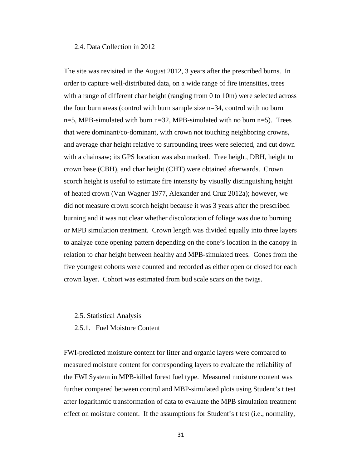#### 2.4. Data Collection in 2012

The site was revisited in the August 2012, 3 years after the prescribed burns. In order to capture well-distributed data, on a wide range of fire intensities, trees with a range of different char height (ranging from 0 to 10m) were selected across the four burn areas (control with burn sample size n=34, control with no burn  $n=5$ , MPB-simulated with burn  $n=32$ , MPB-simulated with no burn  $n=5$ ). Trees that were dominant/co-dominant, with crown not touching neighboring crowns, and average char height relative to surrounding trees were selected, and cut down with a chainsaw; its GPS location was also marked. Tree height, DBH, height to crown base (CBH), and char height (CHT) were obtained afterwards. Crown scorch height is useful to estimate fire intensity by visually distinguishing height of heated crown (Van Wagner 1977, Alexander and Cruz 2012a); however, we did not measure crown scorch height because it was 3 years after the prescribed burning and it was not clear whether discoloration of foliage was due to burning or MPB simulation treatment. Crown length was divided equally into three layers to analyze cone opening pattern depending on the cone's location in the canopy in relation to char height between healthy and MPB-simulated trees. Cones from the five youngest cohorts were counted and recorded as either open or closed for each crown layer. Cohort was estimated from bud scale scars on the twigs.

#### 2.5. Statistical Analysis

2.5.1. Fuel Moisture Content

FWI-predicted moisture content for litter and organic layers were compared to measured moisture content for corresponding layers to evaluate the reliability of the FWI System in MPB-killed forest fuel type. Measured moisture content was further compared between control and MBP-simulated plots using Student's t test after logarithmic transformation of data to evaluate the MPB simulation treatment effect on moisture content. If the assumptions for Student's t test (i.e., normality,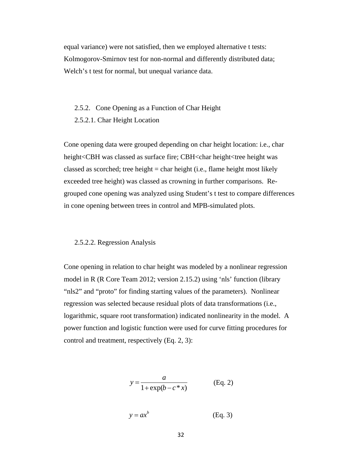equal variance) were not satisfied, then we employed alternative t tests: Kolmogorov-Smirnov test for non-normal and differently distributed data; Welch's t test for normal, but unequal variance data.

#### 2.5.2. Cone Opening as a Function of Char Height

2.5.2.1. Char Height Location

Cone opening data were grouped depending on char height location: i.e., char height<CBH was classed as surface fire; CBH<char height<tree height was classed as scorched; tree height  $=$  char height (i.e., flame height most likely exceeded tree height) was classed as crowning in further comparisons. Regrouped cone opening was analyzed using Student's t test to compare differences in cone opening between trees in control and MPB-simulated plots.

#### 2.5.2.2. Regression Analysis

Cone opening in relation to char height was modeled by a nonlinear regression model in R (R Core Team 2012; version 2.15.2) using 'nls' function (library "nls2" and "proto" for finding starting values of the parameters). Nonlinear regression was selected because residual plots of data transformations (i.e., logarithmic, square root transformation) indicated nonlinearity in the model. A power function and logistic function were used for curve fitting procedures for control and treatment, respectively (Eq. 2, 3):

$$
y = \frac{a}{1 + \exp(b - c \cdot x)}
$$
 (Eq. 2)

 $y = ax^b$ *y ax* (Eq. 3)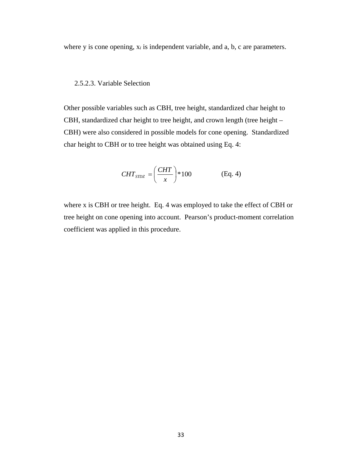where y is cone opening, x*i* is independent variable, and a, b, c are parameters.

#### 2.5.2.3. Variable Selection

Other possible variables such as CBH, tree height, standardized char height to CBH, standardized char height to tree height, and crown length (tree height – CBH) were also considered in possible models for cone opening. Standardized char height to CBH or to tree height was obtained using Eq. 4:

$$
CHT_{STDZ} = \left(\frac{CHT}{x}\right) * 100
$$
 (Eq. 4)

where x is CBH or tree height. Eq. 4 was employed to take the effect of CBH or tree height on cone opening into account. Pearson's product-moment correlation coefficient was applied in this procedure.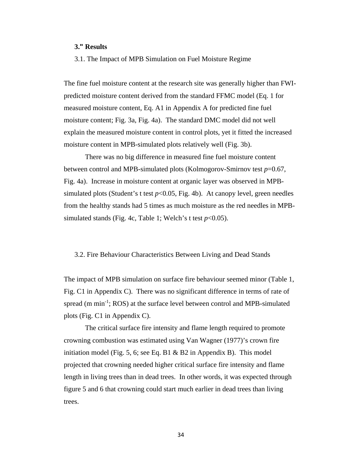### **3." Results**

3.1. The Impact of MPB Simulation on Fuel Moisture Regime

The fine fuel moisture content at the research site was generally higher than FWIpredicted moisture content derived from the standard FFMC model (Eq. 1 for measured moisture content, Eq. A1 in Appendix A for predicted fine fuel moisture content; Fig. 3a, Fig. 4a). The standard DMC model did not well explain the measured moisture content in control plots, yet it fitted the increased moisture content in MPB-simulated plots relatively well (Fig. 3b).

 There was no big difference in measured fine fuel moisture content between control and MPB-simulated plots (Kolmogorov-Smirnov test *p*=0.67, Fig. 4a). Increase in moisture content at organic layer was observed in MPBsimulated plots (Student's t test  $p<0.05$ , Fig. 4b). At canopy level, green needles from the healthy stands had 5 times as much moisture as the red needles in MPBsimulated stands (Fig. 4c, Table 1; Welch's t test  $p<0.05$ ).

#### 3.2. Fire Behaviour Characteristics Between Living and Dead Stands

The impact of MPB simulation on surface fire behaviour seemed minor (Table 1, Fig. C1 in Appendix C). There was no significant difference in terms of rate of spread (m min<sup>-1</sup>; ROS) at the surface level between control and MPB-simulated plots (Fig. C1 in Appendix C).

The critical surface fire intensity and flame length required to promote crowning combustion was estimated using Van Wagner (1977)'s crown fire initiation model (Fig. 5, 6; see Eq. B1  $\&$  B2 in Appendix B). This model projected that crowning needed higher critical surface fire intensity and flame length in living trees than in dead trees. In other words, it was expected through figure 5 and 6 that crowning could start much earlier in dead trees than living trees.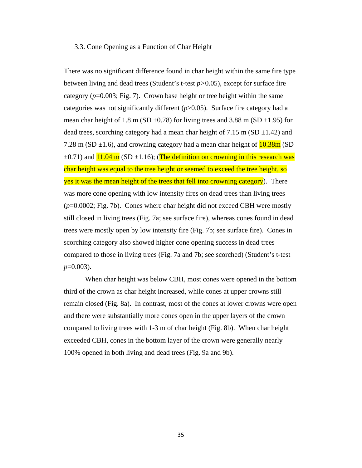#### 3.3. Cone Opening as a Function of Char Height

There was no significant difference found in char height within the same fire type between living and dead trees (Student's t-test *p>*0.05), except for surface fire category  $(p=0.003;$  Fig. 7). Crown base height or tree height within the same categories was not significantly different (*p*>0.05). Surface fire category had a mean char height of 1.8 m (SD  $\pm$ 0.78) for living trees and 3.88 m (SD  $\pm$ 1.95) for dead trees, scorching category had a mean char height of  $7.15 \text{ m}$  (SD  $\pm 1.42$ ) and 7.28 m (SD  $\pm$ 1.6), and crowning category had a mean char height of  $10.38m$  (SD  $\pm$ 0.71) and  $11.04$  m (SD  $\pm$ 1.16); (The definition on crowning in this research was char height was equal to the tree height or seemed to exceed the tree height, so yes it was the mean height of the trees that fell into crowning category). There was more cone opening with low intensity fires on dead trees than living trees (*p*=0.0002; Fig. 7b). Cones where char height did not exceed CBH were mostly still closed in living trees (Fig. 7a; see surface fire), whereas cones found in dead trees were mostly open by low intensity fire (Fig. 7b; see surface fire). Cones in scorching category also showed higher cone opening success in dead trees compared to those in living trees (Fig. 7a and 7b; see scorched) (Student's t-test *p*=0.003).

When char height was below CBH, most cones were opened in the bottom third of the crown as char height increased, while cones at upper crowns still remain closed (Fig. 8a). In contrast, most of the cones at lower crowns were open and there were substantially more cones open in the upper layers of the crown compared to living trees with 1-3 m of char height (Fig. 8b). When char height exceeded CBH, cones in the bottom layer of the crown were generally nearly 100% opened in both living and dead trees (Fig. 9a and 9b).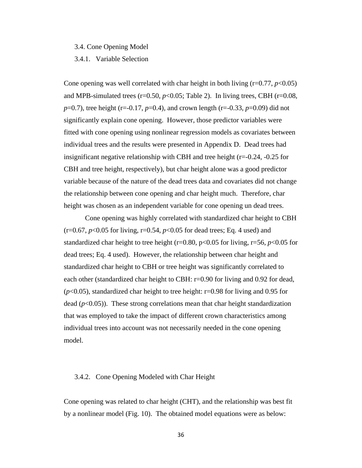3.4. Cone Opening Model

3.4.1. Variable Selection

Cone opening was well correlated with char height in both living  $(r=0.77, p<0.05)$ and MPB-simulated trees ( $r=0.50$ ,  $p<0.05$ ; Table 2). In living trees, CBH ( $r=0.08$ , *p*=0.7), tree height (r=-0.17, *p*=0.4), and crown length (r=-0.33, *p*=0.09) did not significantly explain cone opening. However, those predictor variables were fitted with cone opening using nonlinear regression models as covariates between individual trees and the results were presented in Appendix D. Dead trees had insignificant negative relationship with CBH and tree height  $(r=0.24, -0.25$  for CBH and tree height, respectively), but char height alone was a good predictor variable because of the nature of the dead trees data and covariates did not change the relationship between cone opening and char height much. Therefore, char height was chosen as an independent variable for cone opening un dead trees.

 Cone opening was highly correlated with standardized char height to CBH  $(r=0.67, p<0.05$  for living,  $r=0.54, p<0.05$  for dead trees; Eq. 4 used) and standardized char height to tree height ( $r=0.80$ ,  $p<0.05$  for living,  $r=56$ ,  $p<0.05$  for dead trees; Eq. 4 used). However, the relationship between char height and standardized char height to CBH or tree height was significantly correlated to each other (standardized char height to CBH: r=0.90 for living and 0.92 for dead,  $(p<0.05)$ , standardized char height to tree height: r=0.98 for living and 0.95 for dead  $(p<0.05)$ ). These strong correlations mean that char height standardization that was employed to take the impact of different crown characteristics among individual trees into account was not necessarily needed in the cone opening model.

#### 3.4.2. Cone Opening Modeled with Char Height

Cone opening was related to char height (CHT), and the relationship was best fit by a nonlinear model (Fig. 10). The obtained model equations were as below: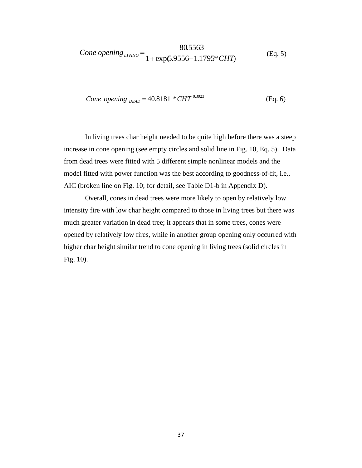*Cone opening*<sub>LYING</sub> = 
$$
\frac{80.5563}{1 + \exp(5.9556 - 1.1795 \cdot \text{CHT})}
$$
(Eq. 5)

*Cone opening* 
$$
_{DEAD}
$$
 = 40.8181  $^{*}CHT^{0.3923}$  (Eq. 6)

In living trees char height needed to be quite high before there was a steep increase in cone opening (see empty circles and solid line in Fig. 10, Eq. 5). Data from dead trees were fitted with 5 different simple nonlinear models and the model fitted with power function was the best according to goodness-of-fit, i.e., AIC (broken line on Fig. 10; for detail, see Table D1-b in Appendix D).

Overall, cones in dead trees were more likely to open by relatively low intensity fire with low char height compared to those in living trees but there was much greater variation in dead tree; it appears that in some trees, cones were opened by relatively low fires, while in another group opening only occurred with higher char height similar trend to cone opening in living trees (solid circles in Fig. 10).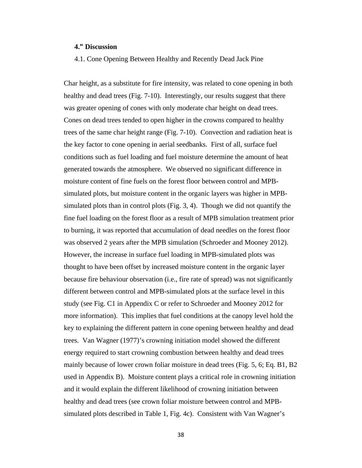### **4." Discussion**

4.1. Cone Opening Between Healthy and Recently Dead Jack Pine

Char height, as a substitute for fire intensity, was related to cone opening in both healthy and dead trees (Fig. 7-10). Interestingly, our results suggest that there was greater opening of cones with only moderate char height on dead trees. Cones on dead trees tended to open higher in the crowns compared to healthy trees of the same char height range (Fig. 7-10). Convection and radiation heat is the key factor to cone opening in aerial seedbanks. First of all, surface fuel conditions such as fuel loading and fuel moisture determine the amount of heat generated towards the atmosphere. We observed no significant difference in moisture content of fine fuels on the forest floor between control and MPBsimulated plots, but moisture content in the organic layers was higher in MPBsimulated plots than in control plots (Fig. 3, 4). Though we did not quantify the fine fuel loading on the forest floor as a result of MPB simulation treatment prior to burning, it was reported that accumulation of dead needles on the forest floor was observed 2 years after the MPB simulation (Schroeder and Mooney 2012). However, the increase in surface fuel loading in MPB-simulated plots was thought to have been offset by increased moisture content in the organic layer because fire behaviour observation (i.e., fire rate of spread) was not significantly different between control and MPB-simulated plots at the surface level in this study (see Fig. C1 in Appendix C or refer to Schroeder and Mooney 2012 for more information). This implies that fuel conditions at the canopy level hold the key to explaining the different pattern in cone opening between healthy and dead trees. Van Wagner (1977)'s crowning initiation model showed the different energy required to start crowning combustion between healthy and dead trees mainly because of lower crown foliar moisture in dead trees (Fig. 5, 6; Eq. B1, B2 used in Appendix B). Moisture content plays a critical role in crowning initiation and it would explain the different likelihood of crowning initiation between healthy and dead trees (see crown foliar moisture between control and MPBsimulated plots described in Table 1, Fig. 4c). Consistent with Van Wagner's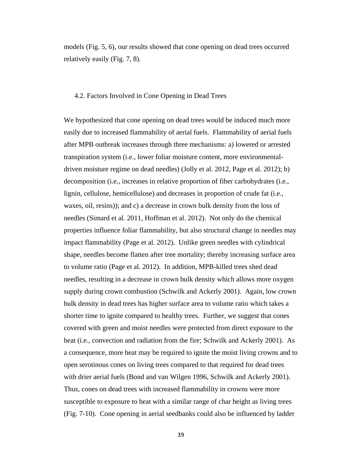models (Fig. 5, 6), our results showed that cone opening on dead trees occurred relatively easily (Fig. 7, 8).

#### 4.2. Factors Involved in Cone Opening in Dead Trees

We hypothesized that cone opening on dead trees would be induced much more easily due to increased flammability of aerial fuels. Flammability of aerial fuels after MPB outbreak increases through three mechanisms: a) lowered or arrested transpiration system (i.e., lower foliar moisture content, more environmentaldriven moisture regime on dead needles) (Jolly et al. 2012, Page et al. 2012); b) decomposition (i.e., increases in relative proportion of fiber carbohydrates (i.e., lignin, cellulose, hemicellulose) and decreases in proportion of crude fat (i.e., waxes, oil, resins)); and c) a decrease in crown bulk density from the loss of needles (Simard et al. 2011, Hoffman et al. 2012). Not only do the chemical properties influence foliar flammability, but also structural change in needles may impact flammability (Page et al. 2012). Unlike green needles with cylindrical shape, needles become flatten after tree mortality; thereby increasing surface area to volume ratio (Page et al. 2012). In addition, MPB-killed trees shed dead needles, resulting in a decrease in crown bulk density which allows more oxygen supply during crown combustion (Schwilk and Ackerly 2001). Again, low crown bulk density in dead trees has higher surface area to volume ratio which takes a shorter time to ignite compared to healthy trees. Further, we suggest that cones covered with green and moist needles were protected from direct exposure to the heat (i.e., convection and radiation from the fire; Schwilk and Ackerly 2001). As a consequence, more heat may be required to ignite the moist living crowns and to open serotinous cones on living trees compared to that required for dead trees with drier aerial fuels (Bond and van Wilgen 1996, Schwilk and Ackerly 2001). Thus, cones on dead trees with increased flammability in crowns were more susceptible to exposure to heat with a similar range of char height as living trees (Fig. 7-10). Cone opening in aerial seedbanks could also be influenced by ladder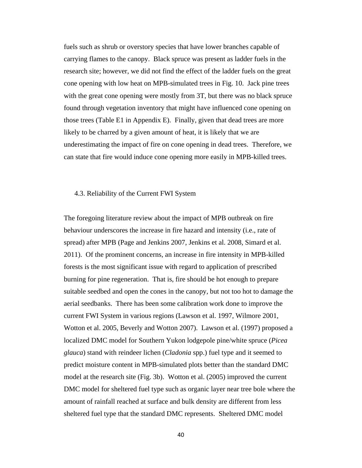fuels such as shrub or overstory species that have lower branches capable of carrying flames to the canopy. Black spruce was present as ladder fuels in the research site; however, we did not find the effect of the ladder fuels on the great cone opening with low heat on MPB-simulated trees in Fig. 10. Jack pine trees with the great cone opening were mostly from 3T, but there was no black spruce found through vegetation inventory that might have influenced cone opening on those trees (Table E1 in Appendix E). Finally, given that dead trees are more likely to be charred by a given amount of heat, it is likely that we are underestimating the impact of fire on cone opening in dead trees. Therefore, we can state that fire would induce cone opening more easily in MPB-killed trees.

#### 4.3. Reliability of the Current FWI System

The foregoing literature review about the impact of MPB outbreak on fire behaviour underscores the increase in fire hazard and intensity (i.e., rate of spread) after MPB (Page and Jenkins 2007, Jenkins et al. 2008, Simard et al. 2011). Of the prominent concerns, an increase in fire intensity in MPB-killed forests is the most significant issue with regard to application of prescribed burning for pine regeneration. That is, fire should be hot enough to prepare suitable seedbed and open the cones in the canopy, but not too hot to damage the aerial seedbanks. There has been some calibration work done to improve the current FWI System in various regions (Lawson et al. 1997, Wilmore 2001, Wotton et al. 2005, Beverly and Wotton 2007). Lawson et al. (1997) proposed a localized DMC model for Southern Yukon lodgepole pine/white spruce (*Picea glauca*) stand with reindeer lichen (*Cladonia* spp.) fuel type and it seemed to predict moisture content in MPB-simulated plots better than the standard DMC model at the research site (Fig. 3b). Wotton et al. (2005) improved the current DMC model for sheltered fuel type such as organic layer near tree bole where the amount of rainfall reached at surface and bulk density are different from less sheltered fuel type that the standard DMC represents. Sheltered DMC model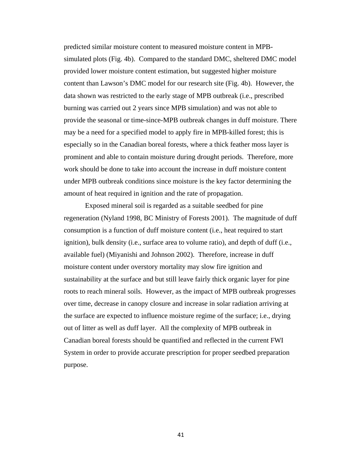predicted similar moisture content to measured moisture content in MPBsimulated plots (Fig. 4b). Compared to the standard DMC, sheltered DMC model provided lower moisture content estimation, but suggested higher moisture content than Lawson's DMC model for our research site (Fig. 4b). However, the data shown was restricted to the early stage of MPB outbreak (i.e., prescribed burning was carried out 2 years since MPB simulation) and was not able to provide the seasonal or time-since-MPB outbreak changes in duff moisture. There may be a need for a specified model to apply fire in MPB-killed forest; this is especially so in the Canadian boreal forests, where a thick feather moss layer is prominent and able to contain moisture during drought periods. Therefore, more work should be done to take into account the increase in duff moisture content under MPB outbreak conditions since moisture is the key factor determining the amount of heat required in ignition and the rate of propagation.

Exposed mineral soil is regarded as a suitable seedbed for pine regeneration (Nyland 1998, BC Ministry of Forests 2001). The magnitude of duff consumption is a function of duff moisture content (i.e., heat required to start ignition), bulk density (i.e., surface area to volume ratio), and depth of duff (i.e., available fuel) (Miyanishi and Johnson 2002). Therefore, increase in duff moisture content under overstory mortality may slow fire ignition and sustainability at the surface and but still leave fairly thick organic layer for pine roots to reach mineral soils. However, as the impact of MPB outbreak progresses over time, decrease in canopy closure and increase in solar radiation arriving at the surface are expected to influence moisture regime of the surface; i.e., drying out of litter as well as duff layer. All the complexity of MPB outbreak in Canadian boreal forests should be quantified and reflected in the current FWI System in order to provide accurate prescription for proper seedbed preparation purpose.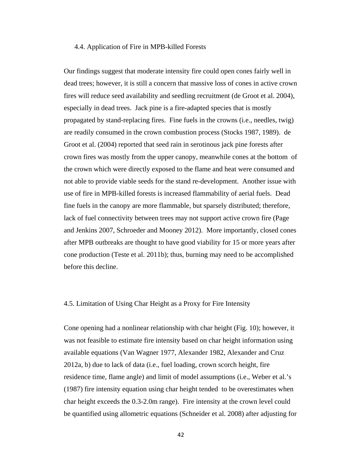#### 4.4. Application of Fire in MPB-killed Forests

Our findings suggest that moderate intensity fire could open cones fairly well in dead trees; however, it is still a concern that massive loss of cones in active crown fires will reduce seed availability and seedling recruitment (de Groot et al. 2004), especially in dead trees. Jack pine is a fire-adapted species that is mostly propagated by stand-replacing fires. Fine fuels in the crowns (i.e., needles, twig) are readily consumed in the crown combustion process (Stocks 1987, 1989). de Groot et al. (2004) reported that seed rain in serotinous jack pine forests after crown fires was mostly from the upper canopy, meanwhile cones at the bottom of the crown which were directly exposed to the flame and heat were consumed and not able to provide viable seeds for the stand re-development. Another issue with use of fire in MPB-killed forests is increased flammability of aerial fuels. Dead fine fuels in the canopy are more flammable, but sparsely distributed; therefore, lack of fuel connectivity between trees may not support active crown fire (Page and Jenkins 2007, Schroeder and Mooney 2012). More importantly, closed cones after MPB outbreaks are thought to have good viability for 15 or more years after cone production (Teste et al. 2011b); thus, burning may need to be accomplished before this decline.

## 4.5. Limitation of Using Char Height as a Proxy for Fire Intensity

Cone opening had a nonlinear relationship with char height (Fig. 10); however, it was not feasible to estimate fire intensity based on char height information using available equations (Van Wagner 1977, Alexander 1982, Alexander and Cruz 2012a, b) due to lack of data (i.e., fuel loading, crown scorch height, fire residence time, flame angle) and limit of model assumptions (i.e., Weber et al.'s (1987) fire intensity equation using char height tended to be overestimates when char height exceeds the 0.3-2.0m range). Fire intensity at the crown level could be quantified using allometric equations (Schneider et al. 2008) after adjusting for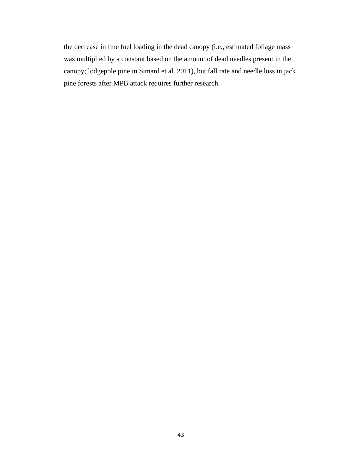the decrease in fine fuel loading in the dead canopy (i.e., estimated foliage mass was multiplied by a constant based on the amount of dead needles present in the canopy; lodgepole pine in Simard et al. 2011), but fall rate and needle loss in jack pine forests after MPB attack requires further research.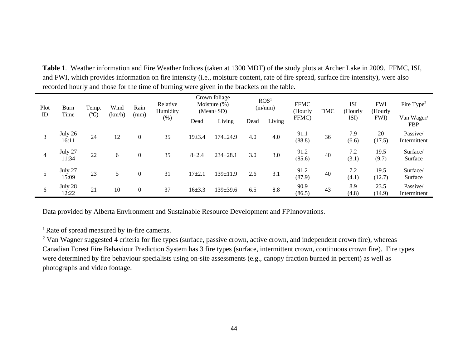| Plot<br><b>Burn</b><br>Time<br>ID |                  | Wind<br>Temp.<br>(km/h)<br>$(^{\circ}C)$ |    | Rain<br>(mm)   | Relative<br>Humidity | Crown foliage<br>Moisture $(\%)$<br>$(Mean \pm SD)$ |                                   | ROS <sup>1</sup><br>(m/min) |      | <b>FFMC</b><br>(Hourly | <b>DMC</b>               | <b>ISI</b><br>(Hourly | <b>FWI</b><br>(Hourly | Fire Type <sup>2</sup>   |
|-----------------------------------|------------------|------------------------------------------|----|----------------|----------------------|-----------------------------------------------------|-----------------------------------|-----------------------------|------|------------------------|--------------------------|-----------------------|-----------------------|--------------------------|
|                                   |                  |                                          |    |                | (% )                 | Dead                                                | FFMC)<br>Living<br>Living<br>Dead |                             | ISI) | FWI)                   | Van Wager/<br><b>FBP</b> |                       |                       |                          |
| 3                                 | July 26<br>16:11 | 24                                       | 12 | $\mathbf{0}$   | 35                   | $19 + 3.4$                                          | $174 \pm 24.9$                    | 4.0                         | 4.0  | 91.1<br>(88.8)         | 36                       | 7.9<br>(6.6)          | 20<br>(17.5)          | Passive/<br>Intermittent |
| 4                                 | July 27<br>11:34 | 22                                       | 6  | $\mathbf{0}$   | 35                   | $8 + 2.4$                                           | $234 \pm 28.1$                    | 3.0                         | 3.0  | 91.2<br>(85.6)         | 40                       | 7.2<br>(3.1)          | 19.5<br>(9.7)         | Surface/<br>Surface      |
|                                   | July 27<br>15:09 | 23                                       | 5  | $\overline{0}$ | 31                   | $17 + 2.1$                                          | $139 \pm 11.9$                    | 2.6                         | 3.1  | 91.2<br>(87.9)         | 40                       | 7.2<br>(4.1)          | 19.5<br>(12.7)        | Surface/<br>Surface      |
| 6                                 | July 28<br>12:22 | 21                                       | 10 | $\mathbf{0}$   | 37                   | $16 + 3.3$                                          | 139±39.6                          | 6.5                         | 8.8  | 90.9<br>(86.5)         | 43                       | 8.9<br>(4.8)          | 23.5<br>(14.9)        | Passive/<br>Intermittent |

**Table 1**. Weather information and Fire Weather Indices (taken at 1300 MDT) of the study plots at Archer Lake in 2009. FFMC, ISI, and FWI, which provides information on fire intensity (i.e., moisture content, rate of fire spread, surface fire intensity), were also recorded hourly and those for the time of burning were given in the brackets on the table.

Data provided by Alberta Environment and Sustainable Resource Development and FPInnovations.

<sup>1</sup> Rate of spread measured by in-fire cameras.

<sup>2</sup> Van Wagner suggested 4 criteria for fire types (surface, passive crown, active crown, and independent crown fire), whereas Canadian Forest Fire Behaviour Prediction System has 3 fire types (surface, intermittent crown, continuous crown fire). Fire types were determined by fire behaviour specialists using on-site assessments (e.g., canopy fraction burned in percent) as well as photographs and video footage.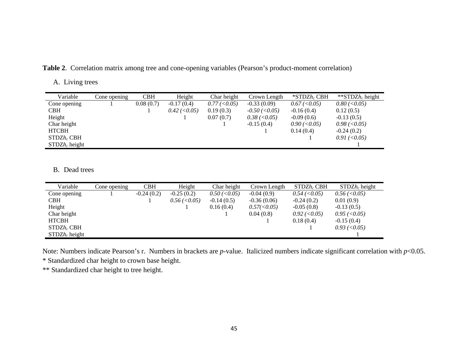**Table 2**. Correlation matrix among tree and cone-opening variables (Pearson's product-moment correlation)

A. Living trees

| Variable         | Cone opening | <b>CBH</b> | Height         | Char height         | Crown Length         | $*STDZh_cCBH$        | **STDZ $h_c$ height  |
|------------------|--------------|------------|----------------|---------------------|----------------------|----------------------|----------------------|
| Cone opening     |              | 0.08(0.7)  | $-0.17(0.4)$   | $0.77 \,(< \,0.05)$ | $-0.33(0.09)$        | $0.67 \,(< \,0.05)$  | $0.80$ (< $0.05$ )   |
| <b>CBH</b>       |              |            | $0.42$ (<0.05) | 0.19(0.3)           | $-0.50$ ( $< 0.05$ ) | $-0.16(0.4)$         | 0.12(0.5)            |
| Height           |              |            |                | 0.07(0.7)           | $0.38$ (< $0.05$ )   | $-0.09(0.6)$         | $-0.13(0.5)$         |
| Char height      |              |            |                |                     | $-0.15(0.4)$         | $0.90 \, (<\, 0.05)$ | $0.98 \, (<0.05)$    |
| <b>HTCBH</b>     |              |            |                |                     |                      | 0.14(0.4)            | $-0.24(0.2)$         |
| $STDZh_c$ CBH    |              |            |                |                     |                      |                      | $0.91 \,(< \, 0.05)$ |
| $STDZh_c$ height |              |            |                |                     |                      |                      |                      |

#### B. Dead trees

| Variable         | Cone opening | <b>CBH</b>   | Height             | Char height        | Crown Length  | $STDZh_c$ CBH       | $STDZh_c$ height   |
|------------------|--------------|--------------|--------------------|--------------------|---------------|---------------------|--------------------|
| Cone opening     |              | $-0.24(0.2)$ | $-0.25(0.2)$       | $0.50$ (< $0.05$ ) | $-0.04(0.9)$  | $0.54 \,(< \,0.05)$ | $0.56 \, (<0.05)$  |
| <b>CBH</b>       |              |              | $0.56$ (< $0.05$ ) | $-0.14(0.5)$       | $-0.36(0.06)$ | $-0.24(0.2)$        | 0.01(0.9)          |
| Height           |              |              |                    | 0.16(0.4)          | 0.57(<0.05)   | $-0.05(0.8)$        | $-0.13(0.5)$       |
| Char height      |              |              |                    |                    | 0.04(0.8)     | $0.92$ (< $0.05$ )  | $0.95$ (< $0.05$ ) |
| <b>HTCBH</b>     |              |              |                    |                    |               | 0.18(0.4)           | $-0.15(0.4)$       |
| $STDZh_c$ CBH    |              |              |                    |                    |               |                     | $0.93$ (< $0.05$ ) |
| $STDZh_c$ height |              |              |                    |                    |               |                     |                    |

Note: Numbers indicate Pearson's r. Numbers in brackets are *p*-value. Italicized numbers indicate significant correlation with *p*<0.05.

\* Standardized char height to crown base height.

\*\* Standardized char height to tree height.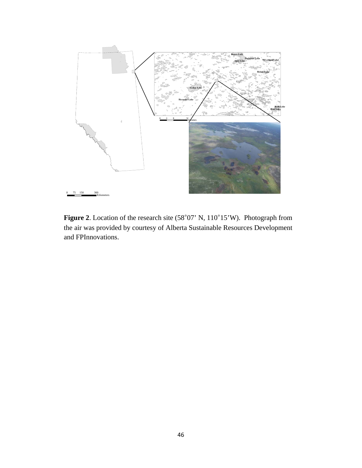

Figure 2. Location of the research site (58°07' N, 110°15'W). Photograph from the air was provided by courtesy of Alberta Sustainable Resources Development and FPInnovations.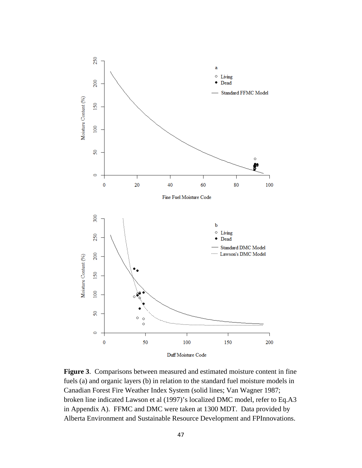

**Figure 3**. Comparisons between measured and estimated moisture content in fine fuels (a) and organic layers (b) in relation to the standard fuel moisture models in Canadian Forest Fire Weather Index System (solid lines; Van Wagner 1987; broken line indicated Lawson et al (1997)'s localized DMC model, refer to Eq.A3 in Appendix A). FFMC and DMC were taken at 1300 MDT. Data provided by Alberta Environment and Sustainable Resource Development and FPInnovations.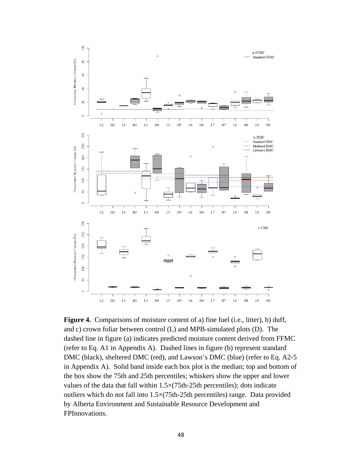

**Figure 4.** Comparisons of moisture content of a) fine fuel (i.e., litter), b) duff, and c) crown foliar between control (L) and MPB-simulated plots (D). The dashed line in figure (a) indicates predicted moisture content derived from FFMC (refer to Eq. A1 in Appendix A). Dashed lines in figure (b) represent standard DMC (black), sheltered DMC (red), and Lawson's DMC (blue) (refer to Eq. A2-5 in Appendix A). Solid band inside each box plot is the median; top and bottom of the box show the 75th and 25th percentiles; whiskers show the upper and lower values of the data that fall within 1.5×(75th-25th percentiles); dots indicate outliers which do not fall into 1.5×(75th-25th percentiles) range. Data provided by Alberta Environment and Sustainable Resource Development and FPInnovations.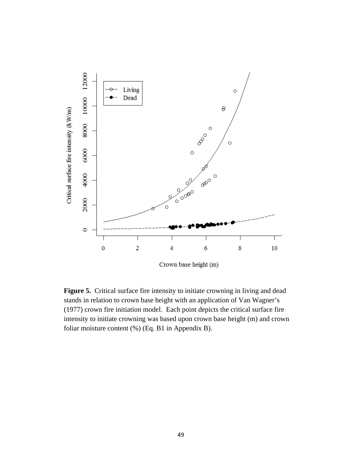

**Figure 5.** Critical surface fire intensity to initiate crowning in living and dead stands in relation to crown base height with an application of Van Wagner's (1977) crown fire initiation model. Each point depicts the critical surface fire intensity to initiate crowning was based upon crown base height (m) and crown foliar moisture content (%) (Eq. B1 in Appendix B).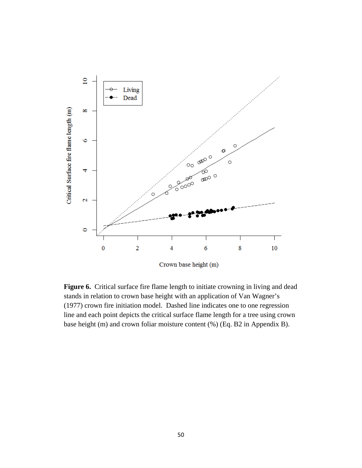

Figure 6. Critical surface fire flame length to initiate crowning in living and dead stands in relation to crown base height with an application of Van Wagner's (1977) crown fire initiation model. Dashed line indicates one to one regression line and each point depicts the critical surface flame length for a tree using crown base height (m) and crown foliar moisture content (%) (Eq. B2 in Appendix B).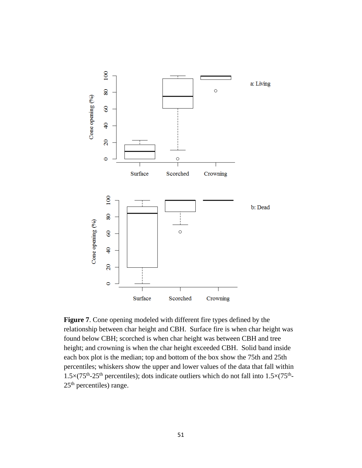

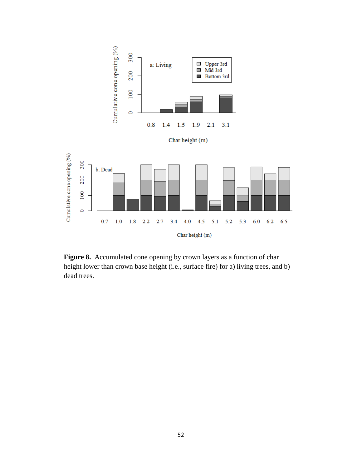

Figure 8. Accumulated cone opening by crown layers as a function of char height lower than crown base height (i.e., surface fire) for a) living trees, and b) dead trees.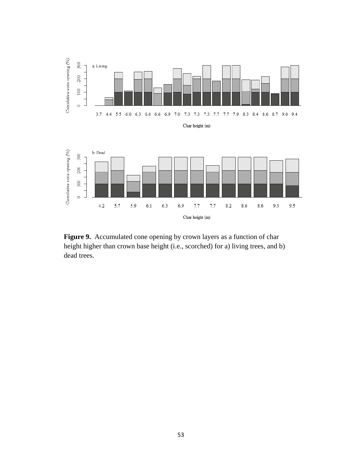

Figure 9. Accumulated cone opening by crown layers as a function of char height higher than crown base height (i.e., scorched) for a) living trees, and b) dead trees.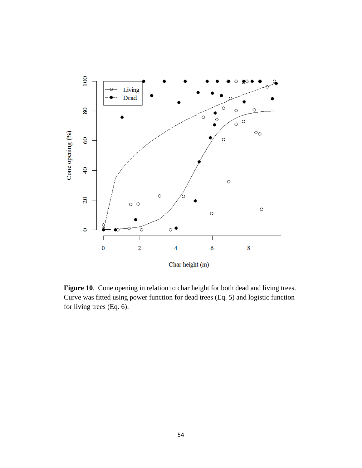

**Figure 10**. Cone opening in relation to char height for both dead and living trees. Curve was fitted using power function for dead trees (Eq. 5) and logistic function for living trees (Eq. 6).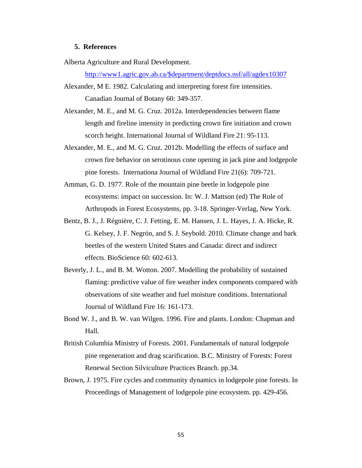### **5. References**

Alberta Agriculture and Rural Development.

http://www1.agric.gov.ab.ca/\$department/deptdocs.nsf/all/agdex10307

Alexander, M E. 1982. Calculating and interpreting forest fire intensities. Canadian Journal of Botany 60: 349-357.

- Alexander, M. E., and M. G. Cruz. 2012a. Interdependencies between flame length and fireline intensity in predicting crown fire initiation and crown scorch height. International Journal of Wildland Fire 21: 95-113.
- Alexander, M. E., and M. G. Cruz. 2012b. Modelling the effects of surface and crown fire behavior on serotinous cone opening in jack pine and lodgepole pine forests. Internationa Journal of Wildland Fire 21(6): 709-721.
- Amman, G. D. 1977. Role of the mountain pine beetle in lodgepole pine ecosystems: impact on succession. In: W. J. Mattson (ed) The Role of Arthropods in Forest Ecosystems, pp. 3-18. Springer-Verlag, New York.
- Bentz, B. J., J. Régnière, C. J. Fetting, E. M. Hansen, J. L. Hayes, J. A. Hicke, R. G. Kelsey, J. F. Negrón, and S. J. Seybold. 2010. Climate change and bark beetles of the western United States and Canada: direct and indirect effects. BioScience 60: 602-613.
- Beverly, J. L., and B. M. Wotton. 2007. Modelling the probability of sustained flaming: predictive value of fire weather index components compared with observations of site weather and fuel moisture conditions. International Journal of Wildland Fire 16: 161-173.
- Bond W. J., and B. W. van Wilgen. 1996. Fire and plants. London: Chapman and Hall.
- British Columbia Ministry of Forests. 2001. Fundamentals of natural lodgepole pine regeneration and drag scarification. B.C. Ministry of Forests: Forest Renewal Section Silviculture Practices Branch. pp.34.
- Brown, J. 1975. Fire cycles and community dynamics in lodgepole pine forests. In Proceedings of Management of lodgepole pine ecosystem. pp. 429-456.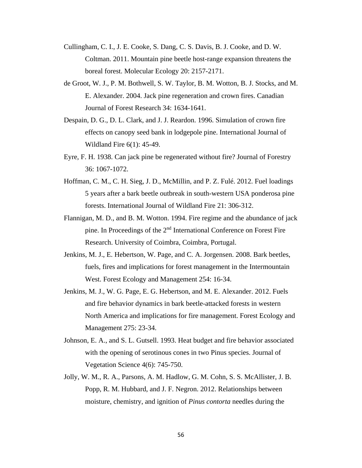- Cullingham, C. I., J. E. Cooke, S. Dang, C. S. Davis, B. J. Cooke, and D. W. Coltman. 2011. Mountain pine beetle host-range expansion threatens the boreal forest. Molecular Ecology 20: 2157-2171.
- de Groot, W. J., P. M. Bothwell, S. W. Taylor, B. M. Wotton, B. J. Stocks, and M. E. Alexander. 2004. Jack pine regeneration and crown fires. Canadian Journal of Forest Research 34: 1634-1641.
- Despain, D. G., D. L. Clark, and J. J. Reardon. 1996. Simulation of crown fire effects on canopy seed bank in lodgepole pine. International Journal of Wildland Fire 6(1): 45-49.
- Eyre, F. H. 1938. Can jack pine be regenerated without fire? Journal of Forestry 36: 1067-1072.
- Hoffman, C. M., C. H. Sieg, J. D., McMillin, and P. Z. Fulé. 2012. Fuel loadings 5 years after a bark beetle outbreak in south-western USA ponderosa pine forests. International Journal of Wildland Fire 21: 306-312.
- Flannigan, M. D., and B. M. Wotton. 1994. Fire regime and the abundance of jack pine. In Proceedings of the 2nd International Conference on Forest Fire Research. University of Coimbra, Coimbra, Portugal.
- Jenkins, M. J., E. Hebertson, W. Page, and C. A. Jorgensen. 2008. Bark beetles, fuels, fires and implications for forest management in the Intermountain West. Forest Ecology and Management 254: 16-34.
- Jenkins, M. J., W. G. Page, E. G. Hebertson, and M. E. Alexander. 2012. Fuels and fire behavior dynamics in bark beetle-attacked forests in western North America and implications for fire management. Forest Ecology and Management 275: 23-34.
- Johnson, E. A., and S. L. Gutsell. 1993. Heat budget and fire behavior associated with the opening of serotinous cones in two Pinus species. Journal of Vegetation Science 4(6): 745-750.
- Jolly, W. M., R. A., Parsons, A. M. Hadlow, G. M. Cohn, S. S. McAllister, J. B. Popp, R. M. Hubbard, and J. F. Negron. 2012. Relationships between moisture, chemistry, and ignition of *Pinus contorta* needles during the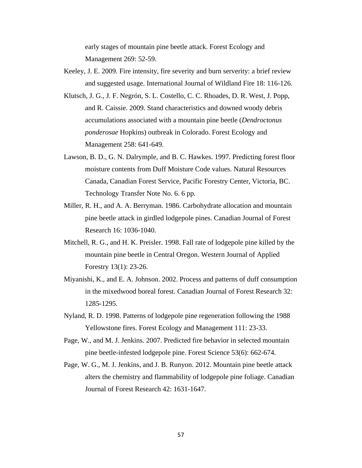early stages of mountain pine beetle attack. Forest Ecology and Management 269: 52-59.

- Keeley, J. E. 2009. Fire intensity, fire severity and burn serverity: a brief review and suggested usage. International Journal of Wildland Fire 18: 116-126.
- Klutsch, J. G., J. F. Negrón, S. L. Costello, C. C. Rhoades, D. R. West, J. Popp, and R. Caissie. 2009. Stand characteristics and downed woody debris accumulations associated with a mountain pine beetle (*Dendroctonus ponderosae* Hopkins) outbreak in Colorado. Forest Ecology and Management 258: 641-649.
- Lawson, B. D., G. N. Dalrymple, and B. C. Hawkes. 1997. Predicting forest floor moisture contents from Duff Moisture Code values. Natural Resources Canada, Canadian Forest Service, Pacific Forestry Center, Victoria, BC. Technology Transfer Note No. 6. 6 pp.
- Miller, R. H., and A. A. Berryman. 1986. Carbohydrate allocation and mountain pine beetle attack in girdled lodgepole pines. Canadian Journal of Forest Research 16: 1036-1040.
- Mitchell, R. G., and H. K. Preisler. 1998. Fall rate of lodgepole pine killed by the mountain pine beetle in Central Oregon. Western Journal of Applied Forestry 13(1): 23-26.
- Miyanishi, K., and E. A. Johnson. 2002. Process and patterns of duff consumption in the mixedwood boreal forest. Canadian Journal of Forest Research 32: 1285-1295.
- Nyland, R. D. 1998. Patterns of lodgepole pine regeneration following the 1988 Yellowstone fires. Forest Ecology and Management 111: 23-33.
- Page, W., and M. J. Jenkins. 2007. Predicted fire behavior in selected mountain pine beetle-infested lodgepole pine. Forest Science 53(6): 662-674.
- Page, W. G., M. J. Jenkins, and J. B. Runyon. 2012. Mountain pine beetle attack alters the chemistry and flammability of lodgepole pine foliage. Canadian Journal of Forest Research 42: 1631-1647.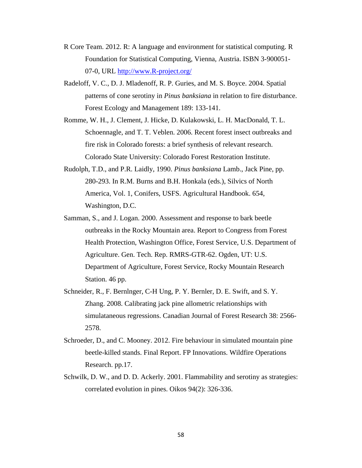- R Core Team. 2012. R: A language and environment for statistical computing. R Foundation for Statistical Computing, Vienna, Austria. ISBN 3-900051- 07-0, URL http://www.R-project.org/
- Radeloff, V. C., D. J. Mladenoff, R. P. Guries, and M. S. Boyce. 2004. Spatial patterns of cone serotiny in *Pinus banksiana* in relation to fire disturbance. Forest Ecology and Management 189: 133-141.
- Romme, W. H., J. Clement, J. Hicke, D. Kulakowski, L. H. MacDonald, T. L. Schoennagle, and T. T. Veblen. 2006. Recent forest insect outbreaks and fire risk in Colorado forests: a brief synthesis of relevant research. Colorado State University: Colorado Forest Restoration Institute.
- Rudolph, T.D., and P.R. Laidly, 1990. *Pinus banksiana* Lamb., Jack Pine, pp. 280-293. In R.M. Burns and B.H. Honkala (eds.), Silvics of North America, Vol. 1, Conifers, USFS. Agricultural Handbook. 654, Washington, D.C.
- Samman, S., and J. Logan. 2000. Assessment and response to bark beetle outbreaks in the Rocky Mountain area. Report to Congress from Forest Health Protection, Washington Office, Forest Service, U.S. Department of Agriculture. Gen. Tech. Rep. RMRS-GTR-62. Ogden, UT: U.S. Department of Agriculture, Forest Service, Rocky Mountain Research Station. 46 pp.
- Schneider, R., F. Bernlnger, C-H Ung, P. Y. Bernler, D. E. Swift, and S. Y. Zhang. 2008. Calibrating jack pine allometric relationships with simulataneous regressions. Canadian Journal of Forest Research 38: 2566- 2578.
- Schroeder, D., and C. Mooney. 2012. Fire behaviour in simulated mountain pine beetle-killed stands. Final Report. FP Innovations. Wildfire Operations Research. pp.17.
- Schwilk, D. W., and D. D. Ackerly. 2001. Flammability and serotiny as strategies: correlated evolution in pines. Oikos 94(2): 326-336.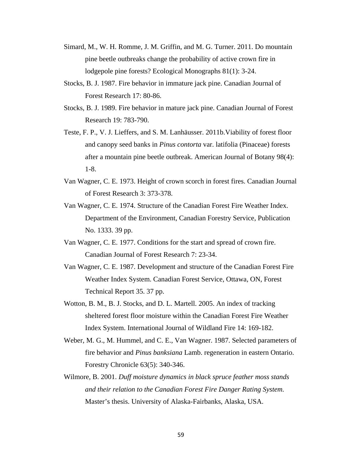- Simard, M., W. H. Romme, J. M. Griffin, and M. G. Turner. 2011. Do mountain pine beetle outbreaks change the probability of active crown fire in lodgepole pine forests? Ecological Monographs 81(1): 3-24.
- Stocks, B. J. 1987. Fire behavior in immature jack pine. Canadian Journal of Forest Research 17: 80-86.
- Stocks, B. J. 1989. Fire behavior in mature jack pine. Canadian Journal of Forest Research 19: 783-790.
- Teste, F. P., V. J. Lieffers, and S. M. Lanhäusser. 2011b.Viability of forest floor and canopy seed banks in *Pinus contorta* var. latifolia (Pinaceae) forests after a mountain pine beetle outbreak. American Journal of Botany 98(4): 1-8.
- Van Wagner, C. E. 1973. Height of crown scorch in forest fires. Canadian Journal of Forest Research 3: 373-378.
- Van Wagner, C. E. 1974. Structure of the Canadian Forest Fire Weather Index. Department of the Environment, Canadian Forestry Service, Publication No. 1333. 39 pp.
- Van Wagner, C. E. 1977. Conditions for the start and spread of crown fire. Canadian Journal of Forest Research 7: 23-34.
- Van Wagner, C. E. 1987. Development and structure of the Canadian Forest Fire Weather Index System. Canadian Forest Service, Ottawa, ON, Forest Technical Report 35. 37 pp.
- Wotton, B. M., B. J. Stocks, and D. L. Martell. 2005. An index of tracking sheltered forest floor moisture within the Canadian Forest Fire Weather Index System. International Journal of Wildland Fire 14: 169-182.
- Weber, M. G., M. Hummel, and C. E., Van Wagner. 1987. Selected parameters of fire behavior and *Pinus banksiana* Lamb. regeneration in eastern Ontario. Forestry Chronicle 63(5): 340-346.
- Wilmore, B. 2001. *Duff moisture dynamics in black spruce feather moss stands and their relation to the Canadian Forest Fire Danger Rating System.* Master's thesis. University of Alaska-Fairbanks, Alaska, USA.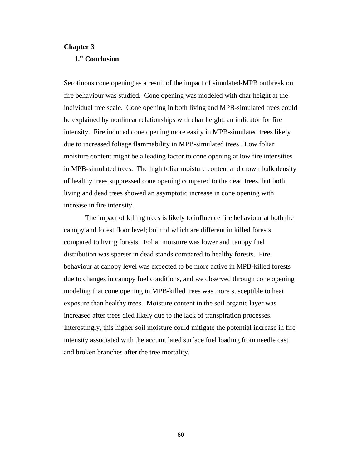### **Chapter 3**

## **1." Conclusion**

Serotinous cone opening as a result of the impact of simulated-MPB outbreak on fire behaviour was studied. Cone opening was modeled with char height at the individual tree scale. Cone opening in both living and MPB-simulated trees could be explained by nonlinear relationships with char height, an indicator for fire intensity. Fire induced cone opening more easily in MPB-simulated trees likely due to increased foliage flammability in MPB-simulated trees. Low foliar moisture content might be a leading factor to cone opening at low fire intensities in MPB-simulated trees. The high foliar moisture content and crown bulk density of healthy trees suppressed cone opening compared to the dead trees, but both living and dead trees showed an asymptotic increase in cone opening with increase in fire intensity.

 The impact of killing trees is likely to influence fire behaviour at both the canopy and forest floor level; both of which are different in killed forests compared to living forests. Foliar moisture was lower and canopy fuel distribution was sparser in dead stands compared to healthy forests. Fire behaviour at canopy level was expected to be more active in MPB-killed forests due to changes in canopy fuel conditions, and we observed through cone opening modeling that cone opening in MPB-killed trees was more susceptible to heat exposure than healthy trees. Moisture content in the soil organic layer was increased after trees died likely due to the lack of transpiration processes. Interestingly, this higher soil moisture could mitigate the potential increase in fire intensity associated with the accumulated surface fuel loading from needle cast and broken branches after the tree mortality.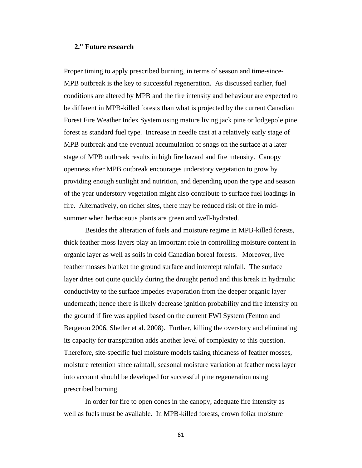#### **2." Future research**

Proper timing to apply prescribed burning, in terms of season and time-since-MPB outbreak is the key to successful regeneration. As discussed earlier, fuel conditions are altered by MPB and the fire intensity and behaviour are expected to be different in MPB-killed forests than what is projected by the current Canadian Forest Fire Weather Index System using mature living jack pine or lodgepole pine forest as standard fuel type. Increase in needle cast at a relatively early stage of MPB outbreak and the eventual accumulation of snags on the surface at a later stage of MPB outbreak results in high fire hazard and fire intensity. Canopy openness after MPB outbreak encourages understory vegetation to grow by providing enough sunlight and nutrition, and depending upon the type and season of the year understory vegetation might also contribute to surface fuel loadings in fire. Alternatively, on richer sites, there may be reduced risk of fire in midsummer when herbaceous plants are green and well-hydrated.

Besides the alteration of fuels and moisture regime in MPB-killed forests, thick feather moss layers play an important role in controlling moisture content in organic layer as well as soils in cold Canadian boreal forests. Moreover, live feather mosses blanket the ground surface and intercept rainfall. The surface layer dries out quite quickly during the drought period and this break in hydraulic conductivity to the surface impedes evaporation from the deeper organic layer underneath; hence there is likely decrease ignition probability and fire intensity on the ground if fire was applied based on the current FWI System (Fenton and Bergeron 2006, Shetler et al. 2008). Further, killing the overstory and eliminating its capacity for transpiration adds another level of complexity to this question. Therefore, site-specific fuel moisture models taking thickness of feather mosses, moisture retention since rainfall, seasonal moisture variation at feather moss layer into account should be developed for successful pine regeneration using prescribed burning.

In order for fire to open cones in the canopy, adequate fire intensity as well as fuels must be available. In MPB-killed forests, crown foliar moisture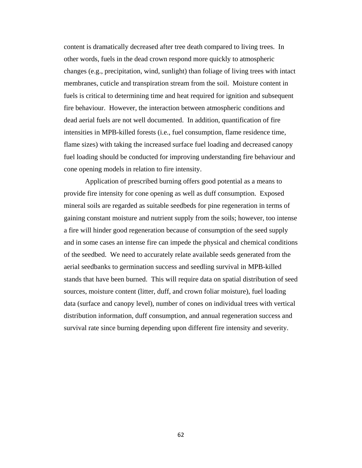content is dramatically decreased after tree death compared to living trees. In other words, fuels in the dead crown respond more quickly to atmospheric changes (e.g., precipitation, wind, sunlight) than foliage of living trees with intact membranes, cuticle and transpiration stream from the soil. Moisture content in fuels is critical to determining time and heat required for ignition and subsequent fire behaviour. However, the interaction between atmospheric conditions and dead aerial fuels are not well documented. In addition, quantification of fire intensities in MPB-killed forests (i.e., fuel consumption, flame residence time, flame sizes) with taking the increased surface fuel loading and decreased canopy fuel loading should be conducted for improving understanding fire behaviour and cone opening models in relation to fire intensity.

 Application of prescribed burning offers good potential as a means to provide fire intensity for cone opening as well as duff consumption. Exposed mineral soils are regarded as suitable seedbeds for pine regeneration in terms of gaining constant moisture and nutrient supply from the soils; however, too intense a fire will hinder good regeneration because of consumption of the seed supply and in some cases an intense fire can impede the physical and chemical conditions of the seedbed. We need to accurately relate available seeds generated from the aerial seedbanks to germination success and seedling survival in MPB-killed stands that have been burned. This will require data on spatial distribution of seed sources, moisture content (litter, duff, and crown foliar moisture), fuel loading data (surface and canopy level), number of cones on individual trees with vertical distribution information, duff consumption, and annual regeneration success and survival rate since burning depending upon different fire intensity and severity.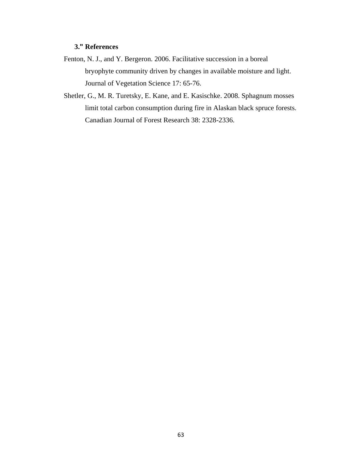## **3." References**

- Fenton, N. J., and Y. Bergeron. 2006. Facilitative succession in a boreal bryophyte community driven by changes in available moisture and light. Journal of Vegetation Science 17: 65-76.
- Shetler, G., M. R. Turetsky, E. Kane, and E. Kasischke. 2008. Sphagnum mosses limit total carbon consumption during fire in Alaskan black spruce forests. Canadian Journal of Forest Research 38: 2328-2336.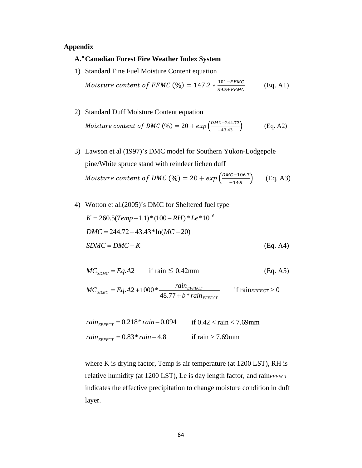#### **Appendix**

#### **A." Canadian Forest Fire Weather Index System**

1) Standard Fine Fuel Moisture Content equation

*Moisture content of FFMC* (%) = 147.2 \* 
$$
\frac{101 - FFMC}{59.5 + FFMC}
$$
 (Eq. A1)

- 2) Standard Duff Moisture Content equation *Moisture content of DMC* (%) = 20 +  $exp\left(\frac{DMC - 244.73}{-43.43}\right)$  (Eq. A2)
- 3) Lawson et al (1997)'s DMC model for Southern Yukon-Lodgepole pine/White spruce stand with reindeer lichen duff *Moisture content of DMC* (%) = 20 +  $exp\left(\frac{DMC-106.7}{-14.9}\right)$  (Eq. A3)
- 4) Wotton et al.(2005)'s DMC for Sheltered fuel type  $K = 260.5(Temp+1.1)*(100 - RH)*Le*10^{-6}$  $DMC = 244.72 - 43.43*ln(MC - 20)$  $SDMC = DMC + K$  (Eq. A4)

$$
MC_{SDMC} = Eq.A2 \qquad \text{if } \text{rain} \le 0.42 \text{mm} \tag{Eq. A5}
$$

*EFFECT*  $E_{EMC} = Eq.A2 + 1000 * \frac{r a m_{EFECT}}{48.77 + b * rain}$  $MC_{SDMC} = Eq.A2 + 1000 * \frac{rain_{EFFECT}}{48.77 + b * rain_{EFFECT}}$  if rain $_{EFFECT} > 0$ 

$$
rain_{EFFECT} = 0.218 * rain - 0.094
$$
 if 0.42 < rain < 7.69mm  
rain\_{EFFECT} = 0.83 \* rain - 4.8 if rain > 7.69mm

where K is drying factor, Temp is air temperature (at  $1200$  LST), RH is relative humidity (at 1200 LST), Le is day length factor, and rain*EFFECT* indicates the effective precipitation to change moisture condition in duff layer.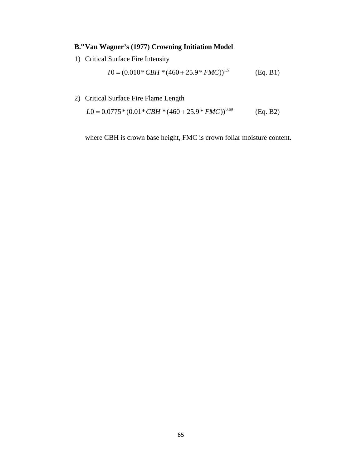## **B." Van Wagner's (1977) Crowning Initiation Model**

1) Critical Surface Fire Intensity

$$
I0 = (0.010 * CBH * (460 + 25.9 * FMC))^{1.5}
$$
 (Eq. B1)

2) Critical Surface Fire Flame Length

$$
L0 = 0.0775*(0.01*CBH*(460+25.9*FMC))0.69
$$
 (Eq. B2)

where CBH is crown base height, FMC is crown foliar moisture content.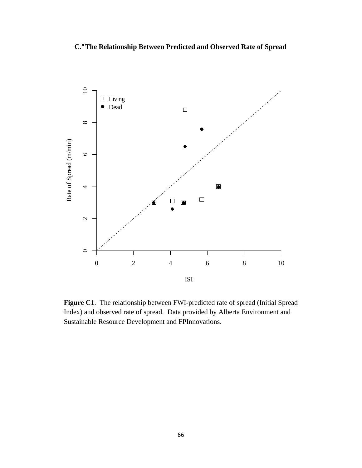**C." The Relationship Between Predicted and Observed Rate of Spread** 



**Figure C1**. The relationship between FWI-predicted rate of spread (Initial Spread Index) and observed rate of spread. Data provided by Alberta Environment and Sustainable Resource Development and FPInnovations.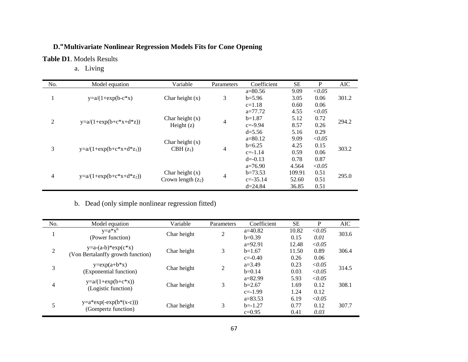#### **D." Multivariate Nonlinear Regression Models Fits for Cone Opening**

#### **Table D1**. Models Results

a. Living

| No. | Model equation             | Variable             | Parameters | Coefficient  | SЕ     | P      | <b>AIC</b> |
|-----|----------------------------|----------------------|------------|--------------|--------|--------|------------|
|     |                            |                      |            | $a=80.56$    | 9.09   | < 0.05 |            |
| л.  | $y=a/(1+exp(b-c*x))$       | Char height $(x)$    | 3          | $b=5.96$     | 3.05   | 0.06   | 301.2      |
|     |                            |                      |            | $c=1.18$     | 0.60   | 0.06   |            |
|     |                            |                      |            | $a=77.72$    | 4.55   | < 0.05 |            |
| 2   | $y=a/(1+exp(b+c*x+d*z))$   | Char height $(x)$    | 4          | $b=1.87$     | 5.12   | 0.72   | 294.2      |
|     |                            | Height $(z)$         |            | $c = -9.94$  | 8.57   | 0.26   |            |
|     |                            |                      |            | $d = 5.56$   | 5.16   | 0.29   |            |
|     |                            | Char height $(x)$    |            | $a=80.12$    | 9.09   | < 0.05 | 303.2      |
| 3   | $y=a/(1+exp(b+c*x+d*z_1))$ |                      | 4          | $b=6.25$     | 4.25   | 0.15   |            |
|     |                            | $CBH(z_1)$           |            | $c = -1.14$  | 0.59   | 0.06   |            |
|     |                            |                      |            | $d = -0.13$  | 0.78   | 0.87   |            |
|     |                            |                      |            | $a=76.90$    | 4.564  | < 0.05 |            |
| 4   |                            | Char height $(x)$    |            | $b=73.53$    | 109.91 | 0.51   | 295.0      |
|     | $y=a/(1+exp(b+c*x+d*z_2))$ | Crown length $(z_2)$ | 4          | $c = -35.14$ | 52.60  | 0.51   |            |
|     |                            |                      |            | $d = 24.84$  | 36.85  | 0.51   |            |

## b. Dead (only simple nonlinear regression fitted)

| No. | Model equation                              | Variable    | Parameters     | Coefficient            | <b>SE</b>     | P              | AIC   |
|-----|---------------------------------------------|-------------|----------------|------------------------|---------------|----------------|-------|
| 1   | $y=a*x^b$<br>(Power function)               | Char height | $\overline{2}$ | $a=40.82$<br>$b=0.39$  | 10.82<br>0.15 | < 0.05<br>0.01 | 303.6 |
|     | $y=a-(a-b)*exp(c*x)$                        |             |                | $a=92.91$              | 12.48         | < 0.05         |       |
| 2   | (Von Bertalanffy growth function)           | Char height | 3              | $b=1.67$<br>$c=-0.40$  | 11.50<br>0.26 | 0.89<br>0.06   | 306.4 |
|     | $y=exp(a+b*x)$                              | Char height | $\overline{2}$ | $a=3.49$               | 0.23          | < 0.05         | 314.5 |
| 3   | (Exponential function)                      |             |                | $b=0.14$               | 0.03          | < 0.05         |       |
| 4   | $y=a/(1+exp(b+c*x))$<br>(Logistic function) | Char height | 3              | $a=82.99$<br>$b=2.67$  | 5.93<br>1.69  | < 0.05<br>0.12 | 308.1 |
|     |                                             |             |                | $c=-1.99$<br>$a=83.53$ | 1.24<br>6.19  | 0.12<br>< 0.05 |       |
| 5   | $y=a*exp(-exp(b*(x-c)))$                    | Char height | 3              | $b=-1.27$              | 0.77          | 0.12           | 307.7 |
|     | (Gompertz function)                         |             |                | $c=0.95$               | 0.41          | 0.03           |       |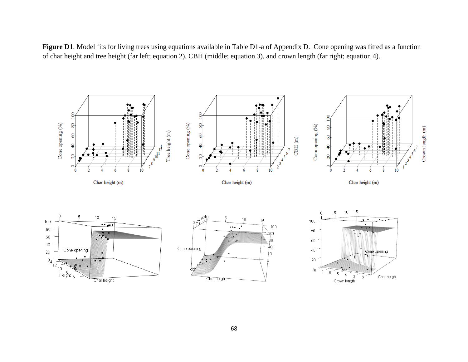**Figure D1**. Model fits for living trees using equations available in Table D1-a of Appendix D. Cone opening was fitted as a function of char height and tree height (far left; equation 2), CBH (middle; equation 3), and crown length (far right; equation 4).

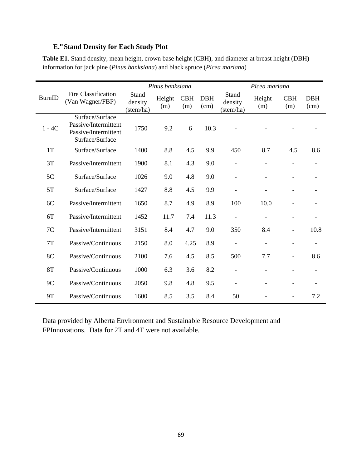## **E." Stand Density for Each Study Plot**

**Table E1**. Stand density, mean height, crown base height (CBH), and diameter at breast height (DBH) information for jack pine (*Pinus banksiana*) and black spruce (*Picea mariana*)

|               |                                                                                    |                               | Pinus banksiana |                   |                    | Picea mariana                 |                          |                          |                    |
|---------------|------------------------------------------------------------------------------------|-------------------------------|-----------------|-------------------|--------------------|-------------------------------|--------------------------|--------------------------|--------------------|
| <b>BurnID</b> | Fire Classification<br>(Van Wagner/FBP)                                            | Stand<br>density<br>(stem/ha) | Height<br>(m)   | <b>CBH</b><br>(m) | <b>DBH</b><br>(cm) | Stand<br>density<br>(stem/ha) | Height<br>(m)            | <b>CBH</b><br>(m)        | <b>DBH</b><br>(cm) |
| $1 - 4C$      | Surface/Surface<br>Passive/Intermittent<br>Passive/Intermittent<br>Surface/Surface | 1750                          | 9.2             | 6                 | 10.3               |                               |                          |                          |                    |
| 1T            | Surface/Surface                                                                    | 1400                          | 8.8             | 4.5               | 9.9                | 450                           | 8.7                      | 4.5                      | 8.6                |
| 3T            | Passive/Intermittent                                                               | 1900                          | 8.1             | 4.3               | 9.0                |                               |                          |                          |                    |
| 5C            | Surface/Surface                                                                    | 1026                          | 9.0             | 4.8               | 9.0                | $\overline{\phantom{a}}$      | $\overline{\phantom{a}}$ |                          |                    |
| 5T            | Surface/Surface                                                                    | 1427                          | 8.8             | 4.5               | 9.9                |                               |                          | -                        |                    |
| 6C            | Passive/Intermittent                                                               | 1650                          | 8.7             | 4.9               | 8.9                | 100                           | 10.0                     |                          |                    |
| 6T            | Passive/Intermittent                                                               | 1452                          | 11.7            | 7.4               | 11.3               |                               |                          |                          |                    |
| 7C            | Passive/Intermittent                                                               | 3151                          | 8.4             | 4.7               | 9.0                | 350                           | 8.4                      | $\overline{\phantom{0}}$ | 10.8               |
| 7T            | Passive/Continuous                                                                 | 2150                          | 8.0             | 4.25              | 8.9                |                               | $\blacksquare$           | -                        |                    |
| 8C            | Passive/Continuous                                                                 | 2100                          | 7.6             | 4.5               | 8.5                | 500                           | 7.7                      | ۰                        | 8.6                |
| <b>8T</b>     | Passive/Continuous                                                                 | 1000                          | 6.3             | 3.6               | 8.2                |                               |                          |                          |                    |
| 9C            | Passive/Continuous                                                                 | 2050                          | 9.8             | 4.8               | 9.5                |                               |                          |                          |                    |
| <b>9T</b>     | Passive/Continuous                                                                 | 1600                          | 8.5             | 3.5               | 8.4                | 50                            |                          |                          | 7.2                |

Data provided by Alberta Environment and Sustainable Resource Development and FPInnovations. Data for 2T and 4T were not available.